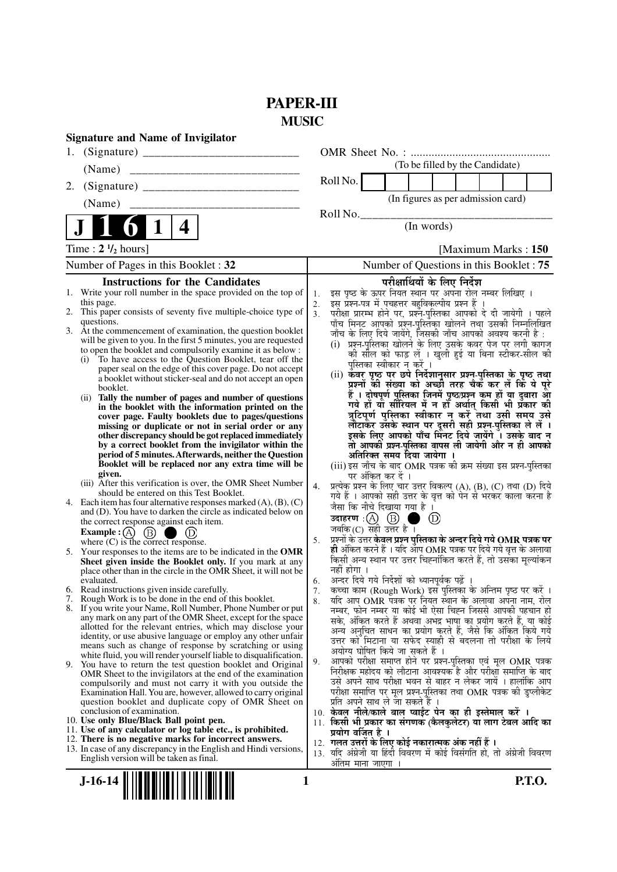# **PAPER-III MUSIC**

|    | <b>Signature and Name of Invigilator</b>                                                                                                                                                     |                |                                                                                                                                                                               |               |
|----|----------------------------------------------------------------------------------------------------------------------------------------------------------------------------------------------|----------------|-------------------------------------------------------------------------------------------------------------------------------------------------------------------------------|---------------|
| 1. |                                                                                                                                                                                              |                |                                                                                                                                                                               |               |
|    | (Name)                                                                                                                                                                                       |                | (To be filled by the Candidate)                                                                                                                                               |               |
| 2. |                                                                                                                                                                                              |                | Roll No.                                                                                                                                                                      |               |
|    | (Name)                                                                                                                                                                                       |                | (In figures as per admission card)                                                                                                                                            |               |
|    | 4                                                                                                                                                                                            |                | Roll No.<br>(In words)                                                                                                                                                        |               |
|    | Time : $2 \frac{1}{2}$ hours]                                                                                                                                                                |                | [Maximum Marks: 150]                                                                                                                                                          |               |
|    | Number of Pages in this Booklet: 32                                                                                                                                                          |                | Number of Questions in this Booklet : 75                                                                                                                                      |               |
|    | <b>Instructions for the Candidates</b>                                                                                                                                                       |                | परीक्षार्थियों के लिए निर्देश                                                                                                                                                 |               |
|    | 1. Write your roll number in the space provided on the top of<br>this page.<br>2. This paper consists of seventy five multiple-choice type of                                                | 1.<br>2.<br>3. | इस पृष्ठ के ऊपर नियत स्थान पर अपना रोल नम्बर लिखिए ।<br>इस् प्रश्न-पत्र में पुचहत्तर बहुविकृल्पीय प्रश्न हैं ।                                                                |               |
|    | questions.                                                                                                                                                                                   |                | परीक्षा प्रारम्भ होने पर, प्रश्नॅं-पुस्तिका आपको दे दी जायेगी । पहले<br>पाँच मिनट आपको प्रश्न-पुस्तिका खोलने तथा उसकी निम्नलिखित                                              |               |
|    | 3. At the commencement of examination, the question booklet<br>will be given to you. In the first 5 minutes, you are requested<br>to open the booklet and compulsorily examine it as below : |                | जाँच के लिए दिये जायेंगे, जिसकी जाँच आपको अवश्य करनी है :<br>(i) प्रश्न-पुस्तिका खोलने के लिए उसके कवर पेज पर लगी कागज<br>को सील को फाड़ लें । खुली हुई या बिना स्टीकर-सील की |               |
|    | To have access to the Question Booklet, tear off the<br>(i)<br>paper seal on the edge of this cover page. Do not accept                                                                      |                | पुस्तिका स्वीकार न करें ।                                                                                                                                                     |               |
|    | a booklet without sticker-seal and do not accept an open                                                                                                                                     |                | (ii) केवर पृष्ठ पर छपे निर्देशानुसार प्रश्न्-पुस्तिका के पृष्ठ तथा<br>प्रश्नों की संख्या को अच्छी तरह चैक कर लें कि ये पूरे                                                   |               |
|    | booklet.<br>Tally the number of pages and number of questions<br>(ii)                                                                                                                        |                | हैं । दोषपूर्ण पुस्तिका जि़नमें पृष्ठ/प्रश्न कूम हों या दुबारा आूँ                                                                                                            |               |
|    | in the booklet with the information printed on the                                                                                                                                           |                | गये हों या सीरियल में न हों अर्थात् किसी भी प्रैकार की<br>त्रुटिपूर्ण पुस्तिका स्वीकार न करें तथा उसी समय उसे                                                                 |               |
|    | cover page. Faulty booklets due to pages/questions<br>missing or duplicate or not in serial order or any                                                                                     |                | लौटाकर उसके स्थान पर दूसरी सही प्रश्न-पुस्तिका ले लें ।                                                                                                                       |               |
|    | other discrepancy should be got replaced immediately<br>by a correct booklet from the invigilator within the                                                                                 |                | इसके लिए आपको पाँच मिंनट दिये जायेंगे ँ। उसके बाद न<br>तो आपकी प्रश्न-पुस्तिका वापस ली जायेगी और न ही आपको                                                                    |               |
|    | period of 5 minutes. Afterwards, neither the Question                                                                                                                                        |                | अतिरिक्त समय दिया जायेगा                                                                                                                                                      |               |
|    | Booklet will be replaced nor any extra time will be<br>given.                                                                                                                                |                | (iii) इस जाँच के बाद OMR पत्रक की क्रम संख्या इस प्रश्न-परितका                                                                                                                |               |
|    | (iii) After this verification is over, the OMR Sheet Number                                                                                                                                  | 4.             | पर अंकित कर दें ।<br>प्रत्येक प्रश्न के लिए चार उत्तर विकल्प (A), (B), (C) तथा (D) दिये                                                                                       |               |
|    | should be entered on this Test Booklet.<br>4. Each item has four alternative responses marked $(A)$ , $(B)$ , $(C)$                                                                          |                | गये हैं । आपको सही उत्तर के वृत्त को पेन से भरकर काला करना है<br>जैसा कि नीचे दिखाया गया है।                                                                                  |               |
|    | and (D). You have to darken the circle as indicated below on<br>the correct response against each item.                                                                                      |                | $\circled{D}$                                                                                                                                                                 |               |
|    | <b>Example :</b> $\overline{A}$ $\overline{B}$ $\overline{D}$ $\overline{D}$<br>where (C) is the correct response.                                                                           |                | जबकि(C) सही उत्तर है।                                                                                                                                                         |               |
|    |                                                                                                                                                                                              | 5.             | प्रश्नों के उत्तर <b>केवल प्रश्न पुस्तिका के अन्दर दिये गये OMR पत्रक पर</b><br>ही अंकित करने हैं । यदि ऑप OMR पत्रक पर दिये गये वृत्त के अलावा                               |               |
|    | 5. Your responses to the items are to be indicated in the OMR<br>Sheet given inside the Booklet only. If you mark at any                                                                     |                | किसी अन्य स्थान पर उत्तर चिह्नांकित करते हैं, तो उसका मूल्यांकन                                                                                                               |               |
|    | place other than in the circle in the OMR Sheet, it will not be<br>evaluated.                                                                                                                | 6.             | नहीं होगा ।<br>अन्दर दिये गये निर्देशों को ध्यानपूर्वक पढ़ें ।                                                                                                                |               |
|    | 6. Read instructions given inside carefully.                                                                                                                                                 | 7.             | कच्चा काम (Rough Work) इस पुस्तिका के अन्तिम पृष्ठ पर करें ।                                                                                                                  |               |
|    | 7. Rough Work is to be done in the end of this booklet.<br>8. If you write your Name, Roll Number, Phone Number or put                                                                       | 8.             | र्याद आप OMR पत्रक पर नियत स्थान के अलावा अपना नाम, रोल<br>नम्बर, फोन नम्बर या कोई भी ऐसा चिह्न जिससे आपकी पहचान हो                                                           |               |
|    | any mark on any part of the OMR Sheet, except for the space                                                                                                                                  |                | सके, अंकित करते हैं अथवा अभद्र भाषा का प्रयोग करते हैं, या कोई                                                                                                                |               |
|    | allotted for the relevant entries, which may disclose your<br>identity, or use abusive language or employ any other unfair                                                                   |                | अन्य अनुचित साधन का प्रयोग करते हैं, जैसे कि अंकित किये गये                                                                                                                   |               |
|    | means such as change of response by scratching or using                                                                                                                                      |                | उत्तर को मिटाना या सफेद स्याही से बदलना तो परीक्षा के लिये<br>अयोग्य घोषित किये जा सकते हैं ।                                                                                 |               |
|    | white fluid, you will render yourself liable to disqualification.<br>9. You have to return the test question booklet and Original                                                            | 9.             | आपको परीक्षा समाप्त होने पर प्रश्न-पुस्तिका एवं मूल OMR पत्रक                                                                                                                 |               |
|    | OMR Sheet to the invigilators at the end of the examination                                                                                                                                  |                | निरीक्षक महोदय को लौटाना आवश्यक है और परीक्षा समाप्ति के बाद<br>उसे अपने साथ परीक्षा भवन से बाहर न लेकर जायें । हालांकि आप                                                    |               |
|    | compulsorily and must not carry it with you outside the<br>Examination Hall. You are, however, allowed to carry original                                                                     |                | परीक्षा समाप्ति पर मूल प्रश्न-पुस्तिका तथा OMR पत्रक की डुप्लीकेट                                                                                                             |               |
|    | question booklet and duplicate copy of OMR Sheet on                                                                                                                                          |                | प्रति अपने साथ ले जा सकते हैं ।                                                                                                                                               |               |
|    | conclusion of examination.<br>10. Use only Blue/Black Ball point pen.                                                                                                                        |                | 10. केवल नीले/काले बाल प्वाईंट पेन का ही इस्तेमाल करें ।<br>11. किसी भी प्रकार का संगणक (कैलकुलेटर) या लाग टेबल आदि का                                                        |               |
|    | 11. Use of any calculator or log table etc., is prohibited.                                                                                                                                  |                | प्रयोग वर्जित है ।                                                                                                                                                            |               |
|    | 12. There is no negative marks for incorrect answers.<br>13. In case of any discrepancy in the English and Hindi versions,                                                                   |                | 12.  गलत उत्तरों के लिए कोई नकारात्मक अंक नहीं हैं ।<br>13. यदि अंग्रेजी या हिंदी विवरण में कोई विसंगति हो, तो अंग्रेजी विवरण                                                 |               |
|    | English version will be taken as final.                                                                                                                                                      |                | अंतिम माना जाएगा                                                                                                                                                              |               |
|    | $J-16-14$<br>1                                                                                                                                                                               |                |                                                                                                                                                                               | <b>P.T.O.</b> |
|    |                                                                                                                                                                                              |                |                                                                                                                                                                               |               |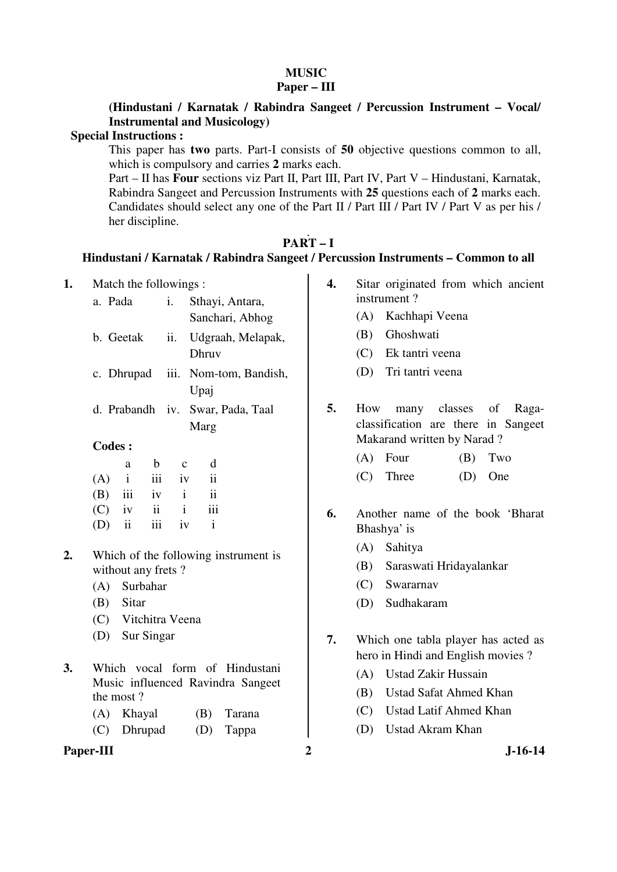# **MUSIC**

## **Paper – III**

# **(Hindustani / Karnatak / Rabindra Sangeet / Percussion Instrument – Vocal/ Instrumental and Musicology)**

### **Special Instructions :**

 This paper has **two** parts. Part-I consists of **50** objective questions common to all, which is compulsory and carries **2** marks each.

 Part – II has **Four** sections viz Part II, Part III, Part IV, Part V – Hindustani, Karnatak, Rabindra Sangeet and Percussion Instruments with **25** questions each of **2** marks each. Candidates should select any one of the Part II / Part III / Part IV / Part V as per his / her discipline.

## **PART – I**

## **Hindustani / Karnatak / Rabindra Sangeet / Percussion Instruments – Common to all**

Paper-III 2 J-16-14 **1.** Match the followings : a. Pada i. Sthayi, Antara, Sanchari, Abhog b. Geetak ii. Udgraah, Melapak, Dhruv c. Dhrupad iii. Nom-tom, Bandish, Upaj d. Prabandh iv. Swar, Pada, Taal Marg **Codes :**  a b c d  $(A)$  i iii iv ii (B) iii iv i ii  $(C)$  iv ii i iii (D) ii iii iv i **2.** Which of the following instrument is without any frets ? (A) Surbahar (B) Sitar (C) Vitchitra Veena (D) Sur Singar **3.** Which vocal form of Hindustani Music influenced Ravindra Sangeet the most ? (A) Khayal (B) Tarana (C) Dhrupad (D) Tappa **4.** Sitar originated from which ancient instrument ? (A) Kachhapi Veena (B) Ghoshwati (C) Ek tantri veena (D) Tri tantri veena **5.** How many classes of Ragaclassification are there in Sangeet Makarand written by Narad ?  $(A)$  Four  $(B)$  Two (C) Three (D) One **6.** Another name of the book 'Bharat Bhashya' is (A) Sahitya (B) Saraswati Hridayalankar (C) Swararnav (D) Sudhakaram **7.** Which one tabla player has acted as hero in Hindi and English movies ? (A) Ustad Zakir Hussain (B) Ustad Safat Ahmed Khan (C) Ustad Latif Ahmed Khan (D) Ustad Akram Khan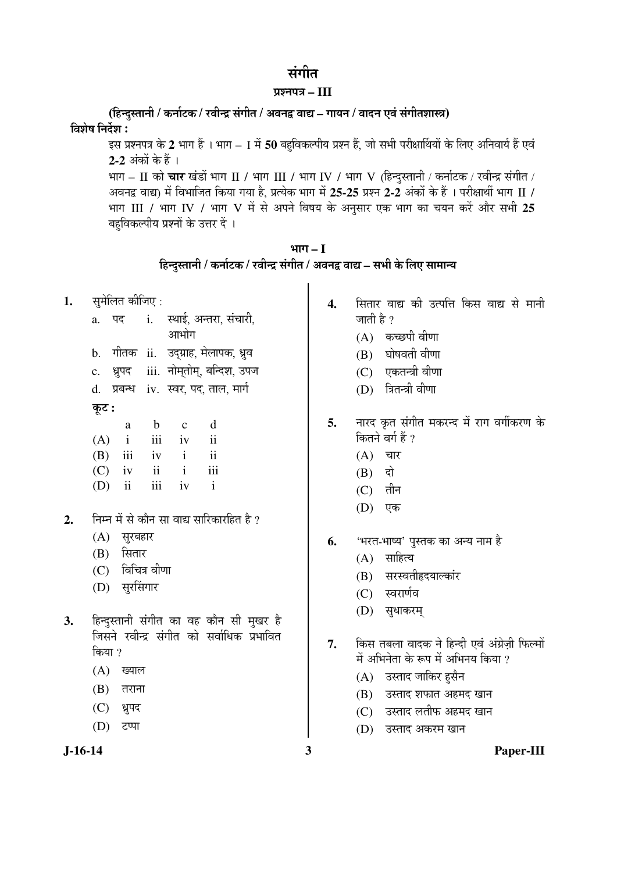# संगीत

### ¯ÖÏ¿®Ö¯Ö¡Ö **– III**

(हिन्दुस्तानी / कर्नाटक / रवीन्द्र संगीत / अवनद्व वाद्य – गायन / वादन एवं संगीतशास्त्र) विशेष निर्देश :

इस प्रश्नपत्र के 2 भाग हैं । भाग – I में **50** बहविकल्पीय प्रश्न हैं, जो सभी परीक्षार्थियों के लिए अनिवार्य हैं एवं **2-2** अंकों के हैं ।

भाग – II को चार खंडों भाग II / भाग III / भाग IV / भाग V (हिन्दुस्तानी / कर्नाटक / रवीन्द्र संगीत / अवनद्व वाद्य) में विभाजित किया गया है, प्रत्येक भाग में 25-25 प्रश्न 2-2 अंकों के हैं । परीक्षार्थी भाग II / भाग III / भाग IV / भाग V में से अपने विषय के अनुसार एक भाग का चयन करें और सभी 25 बहविकल्पीय प्रश्नों के उत्तर दें ।

| भाग – 1                                                                     |
|-----------------------------------------------------------------------------|
| हिन्दुस्तानी / कर्नाटक / रवीन्द्र संगीत / अवनद्व वाद्य – सभी के लिए सामान्य |

- **1.** समेलित कीजिए :
	- a. पद i. स्थाई अन्तरा संचारी, आभोग b. गीतक ii. उद्ग्राह, मेलापक, ध्रुव
	- c. ध्रुपद iii. नोमतोम्, बन्दिश, उपज
	- d. प्रबन्ध iv. स्वर, पद, ताल, मार्ग

# Ûæú™ü **:**

| a |                   | b c  | d                       |
|---|-------------------|------|-------------------------|
|   | $(A)$ i iii iv ii |      |                         |
|   | $(B)$ iii iv i    |      | $\overline{\mathbf{u}}$ |
|   | $(C)$ iv ii i     |      | iii                     |
|   | $(D)$ ii iii      | iv i |                         |

- 2. निम्न में से कौन सा वाद्य सारिकारहित है ?
	- (A) सुरबहार
	- $(B)$  सितार
	- $(C)$  विचित्र वीणा
	- (D) सुरसिंगार
- 3. हिन्दुस्तानी संगीत का वह कौन सी मुखर है जिसने रवीन्द्र संगीत को सर्वाधिक प्रभावित किया ?
	- $(A)$  ख्याल
	- $(B)$  तराना
	- (C) ध्रुपद
	- (D) टप्पा

- 4. सितार वाद्य की उत्पत्ति किस वाद्य से मानी जाती है ?
	- $(A)$  कच्छपी वीणा
	- $(B)$  घोषवती वीणा
	- $(C)$  एकतन्त्री वीणा
	- (D) त्रितन्त्री वीणा
- 5. नारद कृत संगीत मकरन्द में राग वर्गीकरण के कितने वर्ग हैं ?
	- $(A)$  चार
	- $(B)$  दो
	- $(C)$  तीन
	- (D) एक
- **6.** 'भरत-भाष्य' पुस्तक का अन्य नाम है
	- $(A)$  साहित्य
	- (B) सरस्वतीहृदयाल्कांर
	- (C) स्वरार्णव
	- (D) सुधाकरम्
- 7. किस तबला वादक ने हिन्दी एवं अंग्रेजी फिल्मों में अभिनेता के रूप में अभिनय किया ?
	- (A) उस्ताद जाकिर हसैन
	- (B) उस्ताद शफात अहमद खान
	- (C) उस्ताद लतीफ अहमद खान
	- (D) उस्ताद अकरम खान
- **J-16-14 3 Paper-III**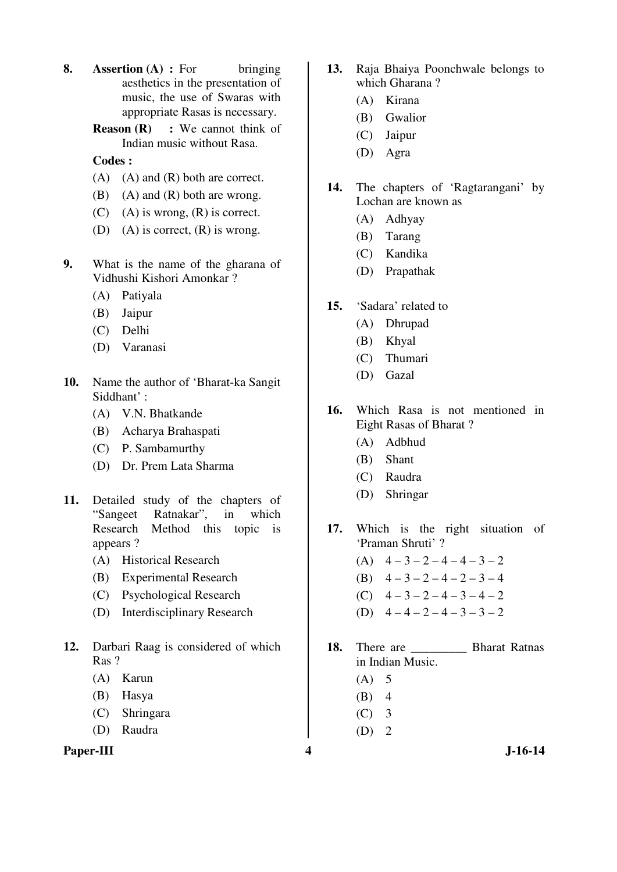**8. Assertion (A) :** For bringing aesthetics in the presentation of music, the use of Swaras with appropriate Rasas is necessary.

> **Reason (R)** : We cannot think of Indian music without Rasa.

### **Codes :**

- (A) (A) and (R) both are correct.
- $(B)$  (A) and  $(R)$  both are wrong.
- $(C)$  (A) is wrong,  $(R)$  is correct.
- (D) (A) is correct,  $(R)$  is wrong.
- **9.** What is the name of the gharana of Vidhushi Kishori Amonkar ?
	- (A) Patiyala
	- (B) Jaipur
	- (C) Delhi
	- (D) Varanasi
- **10.** Name the author of 'Bharat-ka Sangit Siddhant' :
	- (A) V.N. Bhatkande
	- (B) Acharya Brahaspati
	- (C) P. Sambamurthy
	- (D) Dr. Prem Lata Sharma
- **11.** Detailed study of the chapters of "Sangeet Ratnakar", in which Research Method this topic is appears ?
	- (A) Historical Research
	- (B) Experimental Research
	- (C) Psychological Research
	- (D) Interdisciplinary Research
- **12.** Darbari Raag is considered of which Ras ?
	- (A) Karun
	- (B) Hasya
	- (C) Shringara
	- (D) Raudra

## Paper-III **4** J-16-14

- **13.** Raja Bhaiya Poonchwale belongs to which Gharana ?
	- (A) Kirana
	- (B) Gwalior
	- (C) Jaipur
	- (D) Agra
- **14.** The chapters of 'Ragtarangani' by Lochan are known as
	- (A) Adhyay
	- (B) Tarang
	- (C) Kandika
	- (D) Prapathak
- **15.** 'Sadara' related to
	- (A) Dhrupad
	- (B) Khyal
	- (C) Thumari
	- (D) Gazal
- **16.** Which Rasa is not mentioned in Eight Rasas of Bharat ?
	- (A) Adbhud
	- (B) Shant
	- (C) Raudra
	- (D) Shringar

**17.** Which is the right situation of 'Praman Shruti' ?

- (A)  $4-3-2-4-4-3-2$
- (B)  $4-3-2-4-2-3-4$
- (C) 4 3 2 4 3 4 2
- (D)  $4-4-2-4-3-3-2$
- 18. There are **Bharat Ratnas** in Indian Music.
	- $(A)$  5
	- $(B)$  4
	- (C) 3
	- $(D)$  2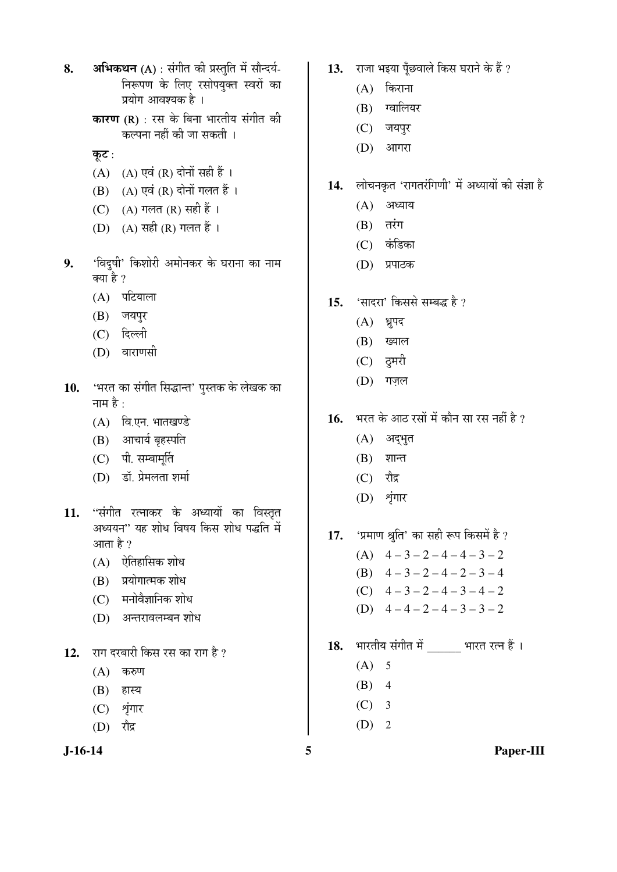- 8. **अभिकथन** (A) : संगीत की प्रस्तुति में सौन्दर्य-निरूपण के लिए रसोपयुक्त स्वरों का प्रयोग आवश्यक है ।
	- **कारण (R)** : रस के बिना भारतीय संगीत की ं<br>कल्पना नहीं की जा सकती ।
	- कूट:
	- $(A)$   $(A)$  एवं  $(R)$  दोनों सही हैं ।
	- $(B)$   $(A)$  एवं  $(R)$  दोनों गलत हैं।
	- (C) (A) गलत (R) सही हैं ।
	- (D) (A) सही (R) गलत हैं ।
- 9. 'विदुषी' किशोरी अमोनकर के घराना का नाम क्या है ?
	- $(A)$  पटियाला
	- (B) जयपुर
	- (C) दिल्ली
	- $(D)$  वाराणसी
- 10. **'भरत का संगीत सिद्धान्त' पुस्तक के** लेखक का नाम $\hat{\vec{\epsilon}}$  :
	- $(A)$  वि.एन. भातखण्डे
	- (B) आचार्य बृहस्पति
	- (C) पी. सम्बामर्ति
	- (D) डॉ. प्रेमलता शर्मा
- 11. "संगीत रत्नाकर के अध्यायों का विस्तृत अध्ययन" यह शोध विषय किस शोध पद्धति में आता है  $\gamma$ 
	- $(A)$  ऐतिहासिक शोध
	- $(B)$  प्रयोगात्मक शोध
	- $(C)$  मनोवैज्ञानिक शोध
	- (D) अन्तरावलम्बन शोध
- 12. राग दरबारी किस रस का राग है ?
	- $(A)$  करुण
	- $(B)$  हास्य
	- (C) श्रृंगार
	- $(D)$  रौद्र
- 13. राजा भइया पॅंछवाले किस घराने के हैं ?
	- $(A)$  किराना
	- (B) ग्वालियर
	- (C) जयपुर
	- $(D)$  आगरा
- 14. लोचनकृत 'रागतरंगिणी' में अध्यायों की संज्ञा है
	- $(A)$  अध्याय
	- $(B)$   $\vec{a}$  $\vec{v}$
	- (C) कंडिका
	- (D) प्रपाठक
- 15. 'सादरा' किससे सम्बद्ध है ?
	- $(A)$  ध्रुपद
	- (B) ख्याल
	- $(C)$  दुमरी
	- (D) गज़ल
- 16. <u>भरत के आठ रसों में कौन सा रस नहीं है</u> ?
	- $(A)$  अद्भुत
	- $(B)$  शान्त
	- $(C)$  रौद्र
	- (D) श्रृंगार
- 17. 'प्रमाण श्रुति' का सही रूप किसमें है ?
	- $(A)$  4 3 2 4 4 3 2 (B)  $4-3-2-4-2-3-4$ (C)  $4-3-2-4-3-4-2$ (D)  $4-4-2-4-3-3-2$
- 18. भारतीय संगीत में भारत रत्न हैं ।
	- $(A)$  5
	- $(B)$  4
	- $(C)$  3
	- $(D)$  2

**J-16-14 5 Paper-III**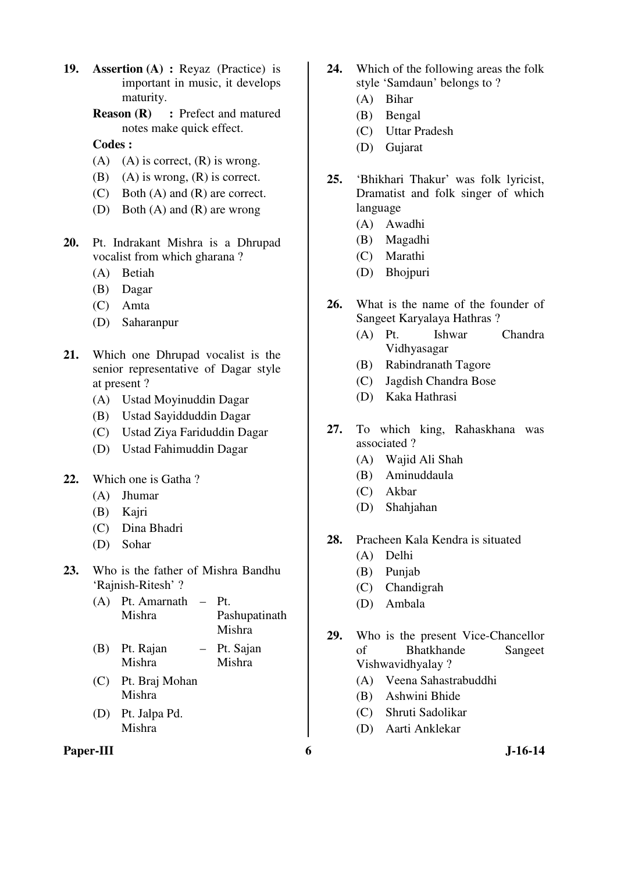**19. Assertion (A) :** Reyaz (Practice) is important in music, it develops maturity.

> **Reason (R) : Prefect and matured** notes make quick effect.

## **Codes :**

- $(A)$   $(A)$  is correct,  $(R)$  is wrong.
- (B) (A) is wrong,  $(R)$  is correct.
- (C) Both (A) and (R) are correct.
- (D) Both (A) and (R) are wrong
- **20.** Pt. Indrakant Mishra is a Dhrupad vocalist from which gharana ?
	- (A) Betiah
	- (B) Dagar
	- (C) Amta
	- (D) Saharanpur
- **21.** Which one Dhrupad vocalist is the senior representative of Dagar style at present ?
	- (A) Ustad Moyinuddin Dagar
	- (B) Ustad Sayidduddin Dagar
	- (C) Ustad Ziya Fariduddin Dagar
	- (D) Ustad Fahimuddin Dagar
- **22.** Which one is Gatha ?
	- (A) Jhumar
	- (B) Kajri
	- (C) Dina Bhadri
	- (D) Sohar
- **23.** Who is the father of Mishra Bandhu 'Rajnish-Ritesh' ?
	- (A) Pt. Amarnath Pt. Mishra Pashupatinath Mishra
	- (B) Pt. Rajan Mishra – Pt. Sajan Mishra
	- (C) Pt. Braj Mohan Mishra
	- (D) Pt. Jalpa Pd. Mishra

#### **Paper-III** 6 J-16-14

- **24.** Which of the following areas the folk style 'Samdaun' belongs to ?
	- (A) Bihar
	- (B) Bengal
	- (C) Uttar Pradesh
	- (D) Gujarat
- **25.** 'Bhikhari Thakur' was folk lyricist, Dramatist and folk singer of which language
	- (A) Awadhi
	- (B) Magadhi
	- (C) Marathi
	- (D) Bhojpuri
- **26.** What is the name of the founder of Sangeet Karyalaya Hathras ?
	- (A) Pt. Ishwar Chandra Vidhyasagar
	- (B) Rabindranath Tagore
	- (C) Jagdish Chandra Bose
	- (D) Kaka Hathrasi
- **27.** To which king, Rahaskhana was associated ?
	- (A) Wajid Ali Shah
	- (B) Aminuddaula
	- (C) Akbar
	- (D) Shahjahan
- **28.** Pracheen Kala Kendra is situated
	- (A) Delhi
	- (B) Punjab
	- (C) Chandigrah
	- (D) Ambala
- **29.** Who is the present Vice-Chancellor of Bhatkhande Sangeet Vishwavidhyalay ?
	- (A) Veena Sahastrabuddhi
	- (B) Ashwini Bhide
	- (C) Shruti Sadolikar
	- (D) Aarti Anklekar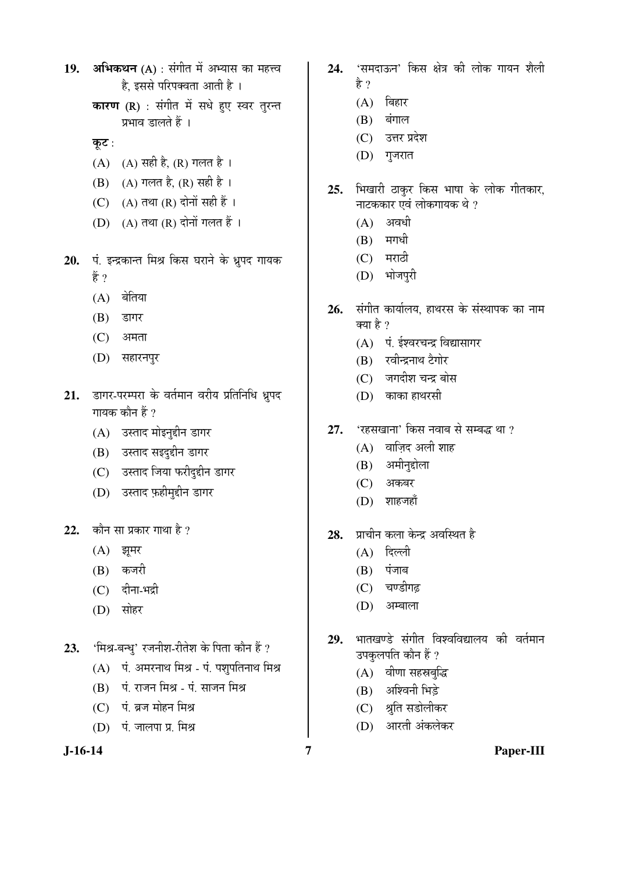- 19. **अभिकथन** (A) : संगीत में अभ्यास का महत्त्व है. इससे परिपक्वता आती है ।
	- **कारण (R)** : संगीत में सधे हुए स्वर तुरन्त प्रभाव डालते हैं ।
	- कुट:
	- (A) (A) सही है, (R) गलत है।
	- $(B)$  (A) गलत है, (R) सही है ।
	- (C)  $(A)$  तथा  $(R)$  दोनों सही हैं।
	- $(D)$   $(A)$  तथा  $(R)$  दोनों गलत हैं।
- 20. पं. इन्द्रकान्त मिश्र किस घराने के ध्रुपद गायक हैं ?
	- $(A)$  बेतिया
	- $(B)$  डागर
	- $(C)$  अमता
	- (D) सहारनपुर
- 21. डागर-परम्परा के वर्तमान वरीय प्रतिनिधि ध्रुपद गायक कौन हैं ?
	- (A) उस्ताद मोइनुद्दीन डागर
	- (B) उस्ताद सइदुद्दीन डागर
	- (C) उस्ताद जिया फरीदुद्दीन डागर
	- (D) उस्ताद फ़हीमुद्दीन डागर
- 22. कौन सा प्रकार गाथा है ?
	- $(A)$  झूमर
	- $(B)$  कजरी
	- $(C)$  दीना-भद्री
	- $(D)$  सोहर
- 23. 'मिश्र-बन्ध्' रजनीश-रीतेश के पिता कौन हैं ?
	- $(A)$  पं. अमरनाथ मिश्र पं. पशुपतिनाथ मिश्र
	- $(B)$  पं. राजन मिश्र पं. साजन मिश्र
	- $(C)$  पं. ब्रज मोहन मिश्र
	- (D) पं. जालपा प्र. मिश्र

- 24. 'समदाऊन' किस क्षेत्र की लोक गायन शैली हे ?
	- $(A)$  बिहार
	- $(B)$  बंगाल
	- (C) उत्तर प्रदेश
	- $(D)$  गुजरात
- 25. भिखारी ठाकुर किस भाषा के लोक गीतकार, नाटककार एवं लोकगायक थे ?
	- $(A)$  अवधी
	- $(B)$  मगधी
	- $(C)$  मराठी
	- (D) भोजपुरी
- 26. संगीत कार्यालय, हाथरस के संस्थापक का नाम क्या है ?
	- (A) पं. ईश्वरचन्द्र विद्यासागर
	- (B) रवीन्द्रनाथ टैगोर
	- (C) जगदीश चन्द्र बोस
	- $(D)$  काका हाथरसी
- 27. 'रहसखाना' किस नवाब से सम्बद्ध था ?
	- $(A)$  वाज़िद अली शाह
	- (B) अमीनुद्दोला
	- $(C)$  अकबर
	- $(D)$  शाहजहाँ
- 28. प्राचीन कला केन्द्र अवस्थित है
	- $(A)$  दिल्ली
	- $(B)$  पंजाब
	- (C) चण्डीगढ़
	- (D) अम्बाला
- 29. भातखण्डे संगीत विश्वविद्यालय की वर्तमान उपकुलपति कौन हैं ?
	- $(A)$  वीणा सहस्रबुद्धि
	- (B) अश्विनी भिड़े
	- (C) श्रीत सडोलीकर
	- (D) आरती अंकलेकर
- 

**J-16-14 7 Paper-III**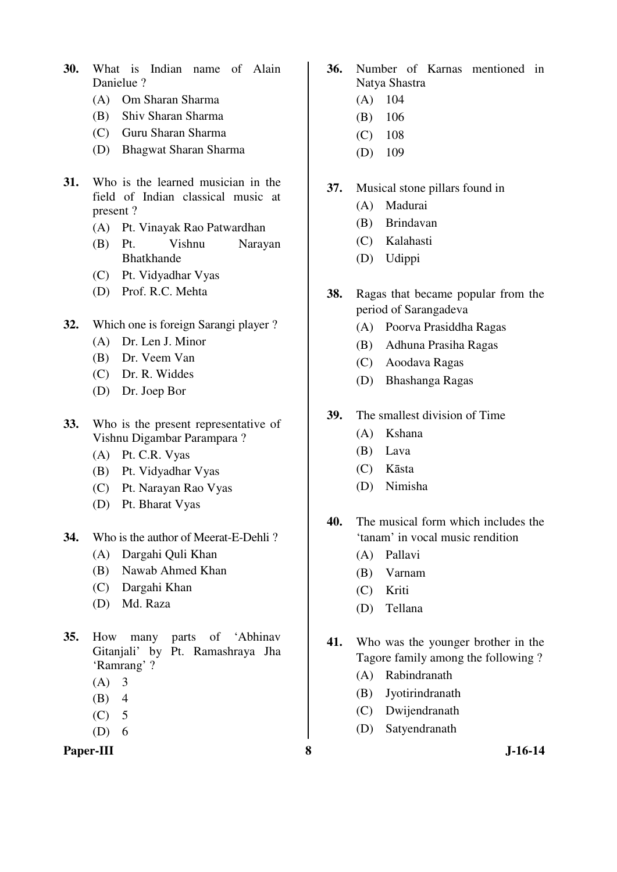- **30.** What is Indian name of Alain Danielue ?
	- (A) Om Sharan Sharma
	- (B) Shiv Sharan Sharma
	- (C) Guru Sharan Sharma
	- (D) Bhagwat Sharan Sharma
- **31.** Who is the learned musician in the field of Indian classical music at present ?
	- (A) Pt. Vinayak Rao Patwardhan
	- (B) Pt. Vishnu Narayan Bhatkhande
	- (C) Pt. Vidyadhar Vyas
	- (D) Prof. R.C. Mehta
- **32.** Which one is foreign Sarangi player ?
	- (A) Dr. Len J. Minor
	- (B) Dr. Veem Van
	- (C) Dr. R. Widdes
	- (D) Dr. Joep Bor
- **33.** Who is the present representative of Vishnu Digambar Parampara ?
	- (A) Pt. C.R. Vyas
	- (B) Pt. Vidyadhar Vyas
	- (C) Pt. Narayan Rao Vyas
	- (D) Pt. Bharat Vyas
- **34.** Who is the author of Meerat-E-Dehli ?
	- (A) Dargahi Quli Khan
	- (B) Nawab Ahmed Khan
	- (C) Dargahi Khan
	- (D) Md. Raza
- **35.** How many parts of 'Abhinav Gitanjali' by Pt. Ramashraya Jha 'Ramrang' ?
	- $(A)$  3
	- $(B)$  4
	- $(C)$  5
	- $(D) 6$

### Paper-III 8 **8** J-16-14

- **36.** Number of Karnas mentioned in Natya Shastra
	- (A) 104
	- (B) 106
	- (C) 108
	- (D) 109
- **37.** Musical stone pillars found in
	- (A) Madurai
	- (B) Brindavan
	- (C) Kalahasti
	- (D) Udippi
- **38.** Ragas that became popular from the period of Sarangadeva
	- (A) Poorva Prasiddha Ragas
	- (B) Adhuna Prasiha Ragas
	- (C) Aoodava Ragas
	- (D) Bhashanga Ragas
- **39.** The smallest division of Time
	- (A) Kshana
	- (B) Lava
	- (C) Kāsta
	- (D) Nimisha
- **40.** The musical form which includes the 'tanam' in vocal music rendition
	- (A) Pallavi
	- (B) Varnam
	- (C) Kriti
	- (D) Tellana
- **41.** Who was the younger brother in the Tagore family among the following ?
	- (A) Rabindranath
	- (B) Jyotirindranath
	- (C) Dwijendranath
	- (D) Satyendranath
-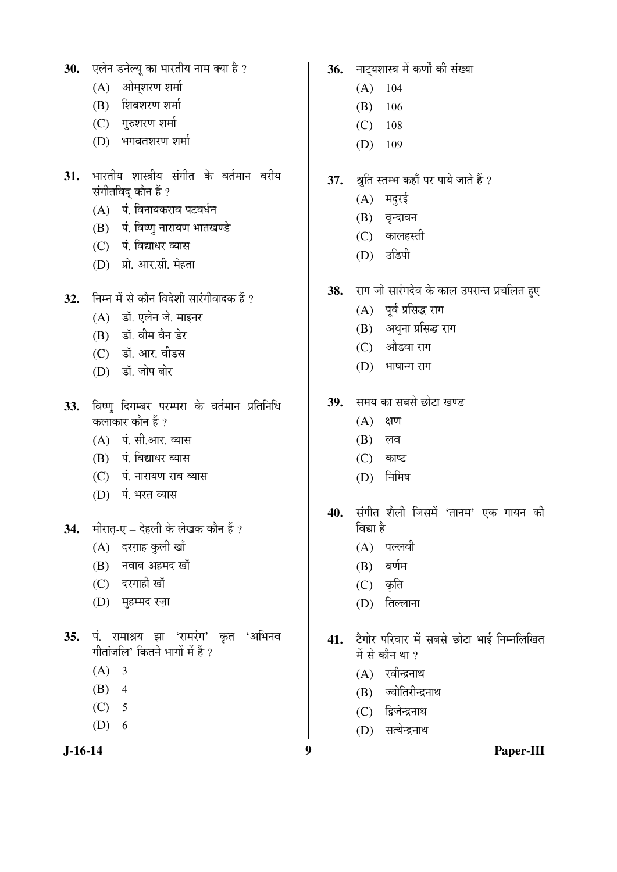- **30. एलेन डनेल्यु का भारतीय नाम क्या** है ?
	- $(A)$  ओमशरण शर्मा
	- $(B)$  शिवशरण शर्मा
	- $(C)$  गुरुशरण शर्मा
	- (D) भगवतशरण शर्मा
- 31. भारतीय शास्त्रीय संगीत के वर्तमान वरीय संगीतविद् कौन हैं ?
	- (A) पं. विनायकराव पटवर्धन
	- $(B)$  पं. विष्णु नारायण भातखण्डे
	- (C) पं. विद्याधर व्यास
	- (D) प्रो. आर.सी. मेहता
- 32. ਜਿਸ में से कौन विदेशी सारंगीवादक हैं ?
	- (A) डॉ. एलेन जे. माइनर
	- $(B)$  डॉ. वीम वैन डेर
	- (C) डॉ. आर. वीडस
	- (D) डॉ. जोप बोर
- 33. विष्णु दिगम्बर परम्परा के वर्तमान प्रतिनिधि कलाकार कौन हैं ?
	- $(A)$  पं. सी.आर. व्यास
	- (B) पं. विद्याधर व्यास
	- (C) पं. नारायण राव व्यास
	- (D) पं. भरत व्यास
- **34.** मीरात-ए देहली के लेखक कौन हैं ?
	- $(A)$  दरग़ाह कुली खाँ
	- (B) नवाब अहमद खाँ
	- (C) दरगाही खाँ
	- (D) मुहम्मद रज़ा
- 35. पं. रामाश्रय झा 'रामरंग' कृत 'अभिनव गीतांजलि' कितने भागों में हैं ?
	- $(A)$  3
	- $(B)$  4
	- $(C)$  5
	- $(D) 6$

**J-16-14 9 Paper-III**

- 36. नाट्यशास्त्र में कर्णों की संख्या
	- $(A)$  104
	- (B) 106
	- $(C)$  108
	- (D) 109
- 37. श्रुति स्तम्भ कहाँ पर पाये जाते हैं ?
	- $(A)$  मदुरई
	- (B) वृन्दावन
	- $(C)$  कालहस्ती
	- (D) उडिपी
- 38. राग जो सारंगदेव के काल उपरान्त प्रचलित हुए
	- $(A)$  पूर्व प्रसिद्ध राग
	- (B) अधुना प्रसिद्ध राग
	- (C) औडवा राग
	- $(D)$  भाषान्ग राग
- 39. समय का सबसे छोटा खण्ड
	- $(A)$  क्षण
	- $(B)$  लव
	- $(C)$  काष्ट
	- $(D)$  निमिष
- 40. संगीत शैली जिसमें 'तानम' एक गायन की विद्या है<sup>।</sup>
	- $(A)$  पल्लवी
	- $(B)$  वर्णम
	- $(C)$  कृति
	- (D) तिल्लाना
- 41. टेगोर परिवार में सबसे छोटा भाई निम्नलिखित में से कौन था ?
	- $(A)$  रवीन्द्रनाथ
	- (B) ज्योतिरीन्द्रनाथ
	- (C) द्विजेन्द्रनाथ
	- (D) सत्येन्द्रनाथ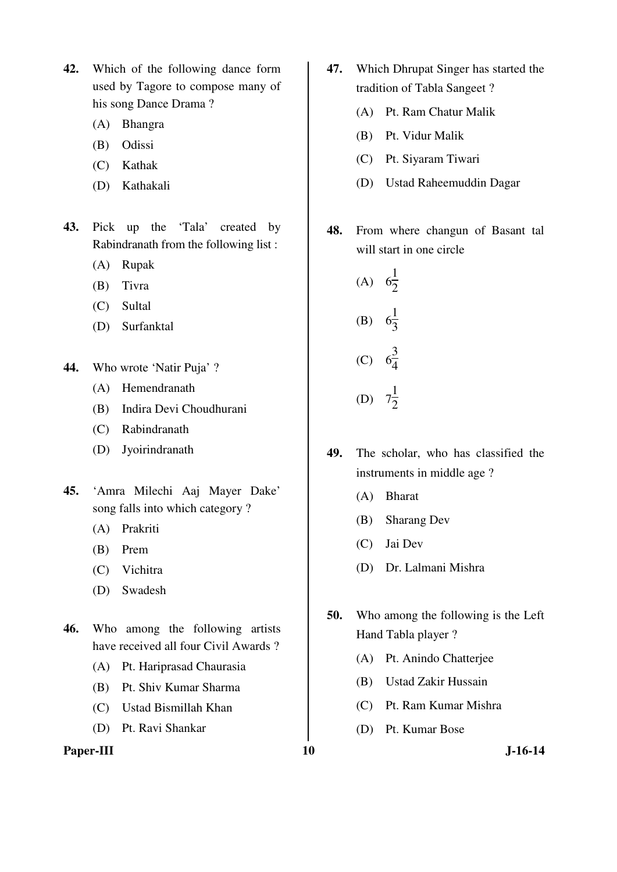- **42.** Which of the following dance form used by Tagore to compose many of his song Dance Drama ?
	- (A) Bhangra
	- (B) Odissi
	- (C) Kathak
	- (D) Kathakali
- **43.** Pick up the 'Tala' created by Rabindranath from the following list :
	- (A) Rupak
	- (B) Tivra
	- (C) Sultal
	- (D) Surfanktal
- **44.** Who wrote 'Natir Puja' ?
	- (A) Hemendranath
	- (B) Indira Devi Choudhurani
	- (C) Rabindranath
	- (D) Jyoirindranath
- **45.** 'Amra Milechi Aaj Mayer Dake' song falls into which category ?
	- (A) Prakriti
	- (B) Prem
	- (C) Vichitra
	- (D) Swadesh
- **46.** Who among the following artists have received all four Civil Awards ?
	- (A) Pt. Hariprasad Chaurasia
	- (B) Pt. Shiv Kumar Sharma
	- (C) Ustad Bismillah Khan
	- (D) Pt. Ravi Shankar

### Paper-III **10** J-16-14

- **47.** Which Dhrupat Singer has started the tradition of Tabla Sangeet ?
	- (A) Pt. Ram Chatur Malik
	- (B) Pt. Vidur Malik
	- (C) Pt. Siyaram Tiwari
	- (D) Ustad Raheemuddin Dagar
- **48.** From where changun of Basant tal will start in one circle
- (A) 6 1  $\frac{1}{2}$  $(B)$ 1 3  $\ddot{\phantom{0}}$  (C) 6 3  $\frac{5}{4}$  (D) 7 1  $\frac{1}{2}$
- **49.** The scholar, who has classified the instruments in middle age ?
	- (A) Bharat
	- (B) Sharang Dev
	- (C) Jai Dev
	- (D) Dr. Lalmani Mishra
- **50.** Who among the following is the Left Hand Tabla player ?
	- (A) Pt. Anindo Chatterjee
	- (B) Ustad Zakir Hussain
	- (C) Pt. Ram Kumar Mishra
	- (D) Pt. Kumar Bose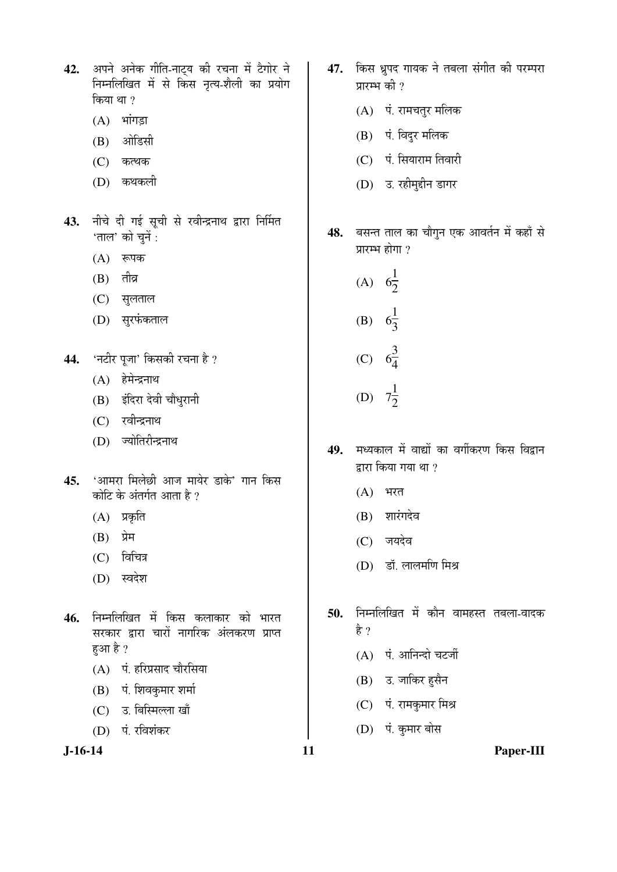42. अपने अनेक गीति-नाट्य की रचना में टैगोर ने निम्नलिखित में से किस नृत्य-शैली का प्रयोग किया था $, 2$ 

- $(A)$  भांगड़ा
- $(B)$   $\overrightarrow{3}$  औडिसी
- $(C)$  कत्थक
- (D) कथकली
- 43. नीचे दी गई सूची से रवीन्द्रनाथ द्वारा निर्मित 'ताल' को चुनें :
	- $(A)$  रूपक
	- $(B)$  तीव्र
	- (C) सुलताल
	- (D) सुरफंकताल
- 44. 'नटीर पूजा' किसकी रचना है ?
	- $(A)$  हेमेन्द्रनाथ
	- (B) इंदिरा देवी चौधुरानी
	- (C) रवीन्द्रनाथ
	- (D) ज्योतिरीन्द्रनाथ
- 45. 'आमरा मिलेछी आज मायेर डाके' गान किस कोटि के अंतर्गत आता है ?
	- $(A)$  प्रकृति
	- (B) प्रेम
	- $(C)$  विचित्र
	- (D) स्वदेश
- 46. निम्नलिखित में किस कलाकार को भारत सरकार द्वारा चारों नागरिक अंलकरण प्राप्त हुआ है ?
	- (A) पं. हरिप्रसाद चौरसिया
	- (B) पं. शिवकुमार शर्मा
	- (C) उ. बिस्मिल्ला खाँ
	- (D) पं. रविशंकर

- 47. किस ध्रुपद गायक ने तबला संगीत की परम्परा प्रारम्भ की ?
	- $(A)$ ां. रामचतुर मलिक
	- (B) पं. विदुर मलिक
	- (C) पं. सियाराम तिवारी
	- (D) उ. रहीमुद्दीन डागर
- 48. बसन्त ताल का चौगुन एक आवर्तन में कहाँ से प्रारम्भ होगा $\sqrt{2}$
- (A) 6 1  $\frac{1}{2}$  (B) 6 1  $\frac{1}{3}$  (C) 6 3  $\frac{5}{4}$  (D) 7 1  $\frac{1}{2}$
- 49. मध्यकाल में वाद्यों का वर्गीकरण किस विद्रान द्वारा किया गया था ?
	- $(A)$  भरत
	- (B) शारंगदेव
	- (C) जयदेव
	- (D) डॉ. लालमणि मिश्र
- 50. निम्नलिखित में कौन वामहस्त तबला-वादक है ?
	- $(A)$  पं. आनिन्दो चटर्जी
	- $(B)$  उ. जाकिर हुसैन
	- (C) पं. रामकुमार मिश्र
	- (D) पं. कुमार बोस

**J-16-14 11 Paper-III**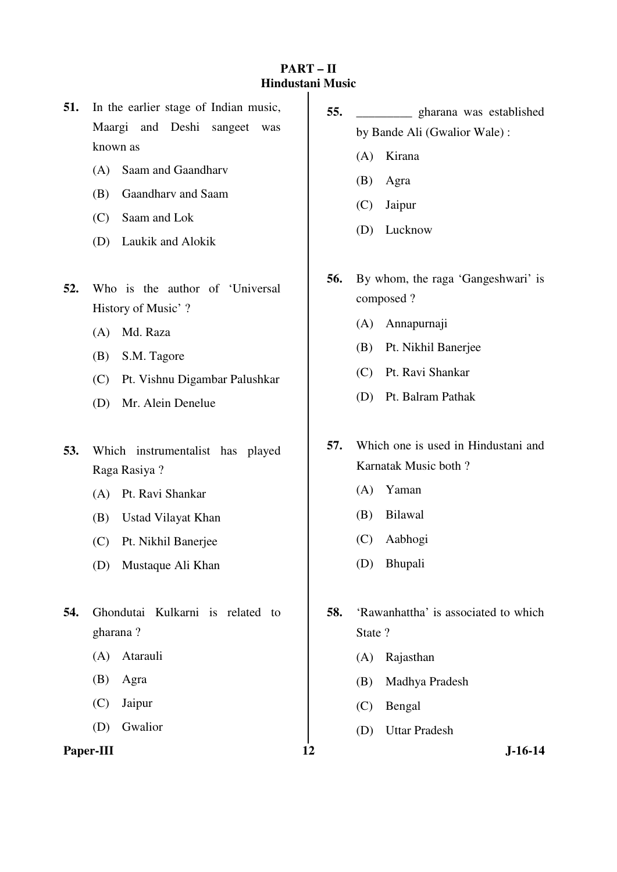# **PART – II Hindustani Music**

- **51.** In the earlier stage of Indian music, Maargi and Deshi sangeet was known as
	- (A) Saam and Gaandharv
	- (B) Gaandharv and Saam
	- (C) Saam and Lok
	- (D) Laukik and Alokik
- **52.** Who is the author of 'Universal History of Music' ?
	- (A) Md. Raza
	- (B) S.M. Tagore
	- (C) Pt. Vishnu Digambar Palushkar
	- (D) Mr. Alein Denelue
- **53.** Which instrumentalist has played Raga Rasiya ?
	- (A) Pt. Ravi Shankar
	- (B) Ustad Vilayat Khan
	- (C) Pt. Nikhil Banerjee
	- (D) Mustaque Ali Khan
- **54.** Ghondutai Kulkarni is related to gharana ?
	- (A) Atarauli
	- (B) Agra
	- (C) Jaipur
	- (D) Gwalior

## Paper-III **12** J-16-14

- **55.** \_\_\_\_\_\_\_\_\_ gharana was established by Bande Ali (Gwalior Wale) :
	- (A) Kirana
	- (B) Agra
	- (C) Jaipur
	- (D) Lucknow
- **56.** By whom, the raga 'Gangeshwari' is composed ?
	- (A) Annapurnaji
	- (B) Pt. Nikhil Banerjee
	- (C) Pt. Ravi Shankar
	- (D) Pt. Balram Pathak
- **57.** Which one is used in Hindustani and Karnatak Music both ?
	- (A) Yaman
	- (B) Bilawal
	- (C) Aabhogi
	- (D) Bhupali
- **58.** 'Rawanhattha' is associated to which State ?
	- (A) Rajasthan
	- (B) Madhya Pradesh
	- (C) Bengal
	- (D) Uttar Pradesh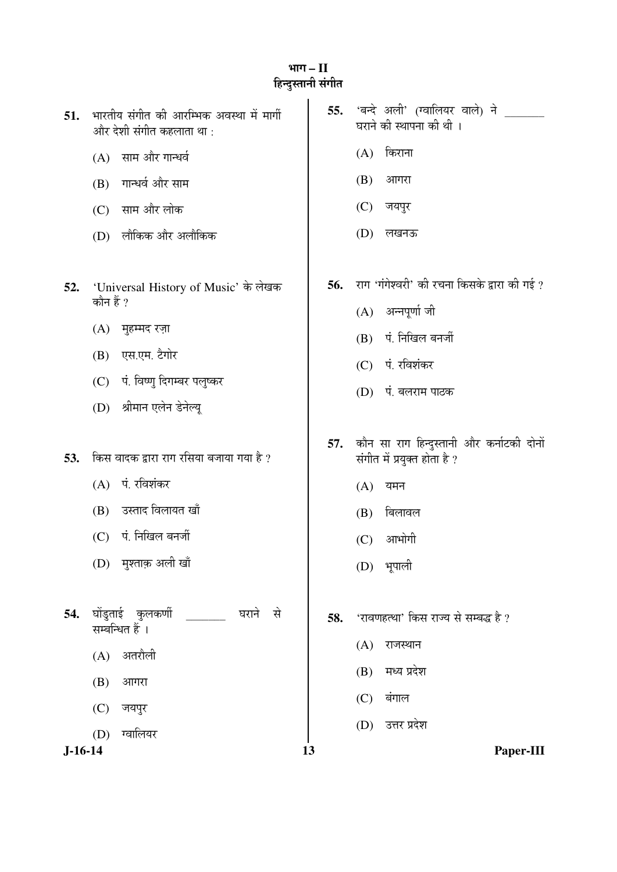# भाग – II हिन्दुस्तानी संग<mark>ी</mark>त

| 51.     | भारतीय संगीत की आरम्भिक अवस्था में मार्गी<br>और देशी संगीत कहलाता था : | 55. | 'बन्दे अली' (ग्वालियर वाले) ने<br>घराने की स्थापना की थी ।                |
|---------|------------------------------------------------------------------------|-----|---------------------------------------------------------------------------|
|         | साम और गान्धर्व<br>(A)                                                 |     | किराना<br>(A)                                                             |
|         | गान्धर्व और साम<br>(B)                                                 |     | (B)<br>आगरा                                                               |
|         | साम और लोक<br>(C)                                                      |     | (C)<br>जयपुर                                                              |
|         | लौकिक और अलौकिक<br>(D)                                                 |     | (D)<br>लखनऊ                                                               |
| 52.     | 'Universal History of Music' के लेखक<br>कौन हैं ?                      | 56. | राग 'गंगेश्वरी' की रचना किसके द्वारा की गई ?<br>अन्नपूर्णा जी<br>(A)      |
|         | मुहम्मद रज़ा<br>(A)                                                    |     | पं. निखिल बनर्जी<br>(B)                                                   |
|         | एस.एम. टैगोर<br>(B)                                                    |     | $(C)$ पं. रविशंकर                                                         |
|         | पं. विष्णु दिगम्बर पलुष्कर<br>(C)                                      |     | (D) पं. बलराम पाठक                                                        |
|         | श्रीमान एलेन डेनेल्यू<br>(D)                                           |     |                                                                           |
| 53.     | किस वादक द्वारा राग रसिया बजाया गया है ?                               | 57. | कौन सा राग हिन्दुस्तानी और कर्नाटकी दोनों<br>संगीत में प्रयुक्त होता है ? |
|         | पं. रविशंकर<br>(A)                                                     |     | (A)<br>यमन                                                                |
|         | उस्ताद विलायत खाँ<br>(B)                                               |     | बिलावल<br>(B)                                                             |
|         | पं. निखिल बनर्जी<br>(C)                                                |     | आभोगी<br>(C)                                                              |
|         | (D) मुश्ताक़ अली खाँ                                                   |     | (D) भूपाली                                                                |
| 54.     | घोंडुताई कुलकर्णी<br>घराने<br>से<br>सम्बन्धित हैं ।                    | 58. | 'रावणहत्था' किस राज्य से सम्बद्ध है ?                                     |
|         | अतरौली<br>(A)                                                          |     | राजस्थान<br>(A)                                                           |
|         | (B)<br>आगरा                                                            |     | मध्य प्रदेश<br>(B)                                                        |
|         | (C)<br>जयपुर                                                           |     | बंगाल<br>(C)                                                              |
|         | ग्वालियर<br>(D)                                                        |     | उत्तर प्रदेश<br>(D)                                                       |
| J-16-14 |                                                                        | 13  | Paper-III                                                                 |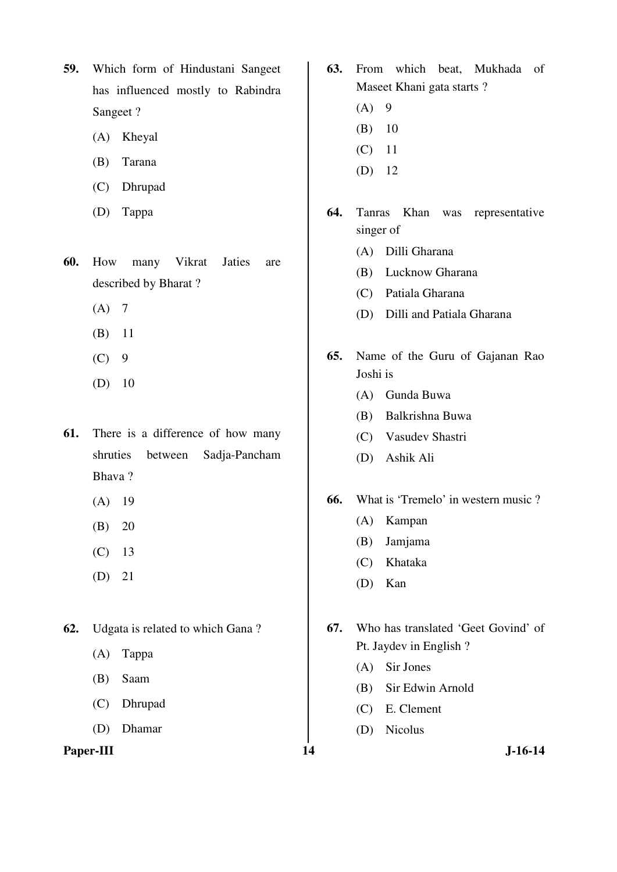- **59.** Which form of Hindustani Sangeet has influenced mostly to Rabindra Sangeet ?
	- (A) Kheyal
	- (B) Tarana
	- (C) Dhrupad
	- (D) Tappa
- **60.** How many Vikrat Jaties are described by Bharat ?
	- $(A)$  7
	- (B) 11
	- $(C)$  9
	- (D) 10
- **61.** There is a difference of how many shruties between Sadja-Pancham Bhava ?
	- (A) 19
	- $(B) 20$
	- (C) 13
	- (D) 21
- **62.** Udgata is related to which Gana ?
	- (A) Tappa
	- (B) Saam
	- (C) Dhrupad
	- (D) Dhamar

#### Paper-III **14** J-16-14

- **63.** From which beat, Mukhada of Maseet Khani gata starts ?
	- $(A) 9$
	- (B) 10
	- (C) 11
	- (D) 12
- **64.** Tanras Khan was representative singer of
	- (A) Dilli Gharana
	- (B) Lucknow Gharana
	- (C) Patiala Gharana
	- (D) Dilli and Patiala Gharana
- **65.** Name of the Guru of Gajanan Rao Joshi is
	- (A) Gunda Buwa
	- (B) Balkrishna Buwa
	- (C) Vasudev Shastri
	- (D) Ashik Ali

# **66.** What is 'Tremelo' in western music ?

- (A) Kampan
- (B) Jamjama
- (C) Khataka
- (D) Kan
- **67.** Who has translated 'Geet Govind' of Pt. Jaydev in English ?
	- (A) Sir Jones
	- (B) Sir Edwin Arnold
	- (C) E. Clement
	- (D) Nicolus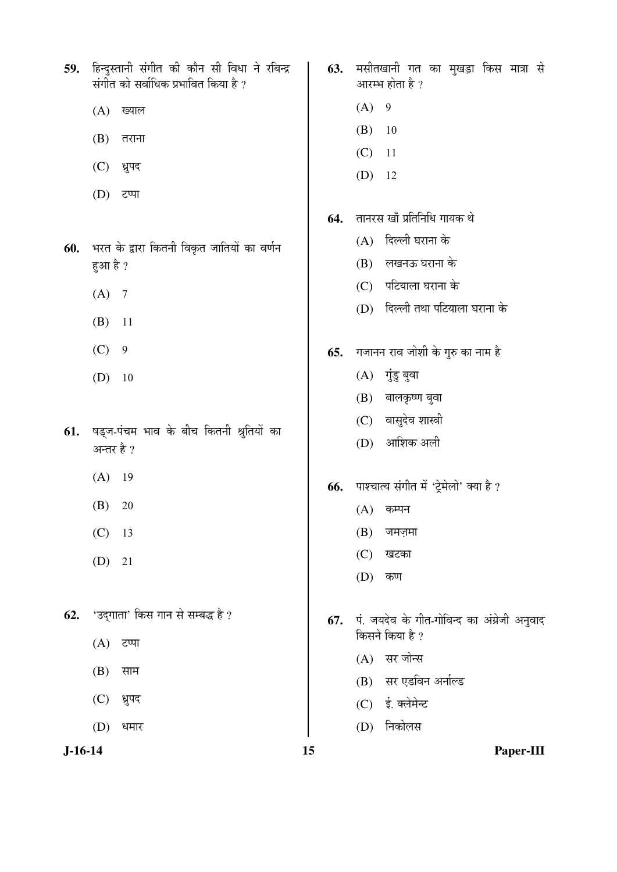**J-16-14 15 Paper-III** 59. हिन्दुस्तानी संगीत की कौन सी विधा ने रबिन्द्र संगीत को सर्वाधिक प्रभावित किया है ?  $(A)$  ख्याल  $(B)$  तराना (C) ध्रुपद  $(D)$  टप्पा **60.** भरत के द्वारा कितनी विकृत जातियों का वर्णन हुआ है ?  $(A) 7$  (B) 11  $(C)$  9  $(D)$  10 61. षड्ज-पंचम भाव के बीच कितनी श्रुतियों का अन्तर है ? (A) 19  $(B) 20$  (C) 13 (D) 21 **62.** 'उदगाता' किस गान से सम्बद्ध है ?  $(A)$  टप्पा  $(B)$  साम (C) ध्रुपद  $(D)$  धमार 63. मसीतखानी गत का मुखड़ा किस मात्रा से आरम्भ होता है ?  $(A) 9$  (B) 10 (C) 11 (D) 12 **64.** तानरस खाँ प्रतिनिधि गायक थे  $(A)$  दिल्ली घराना के (B) लखनऊ घराना के  $(C)$  पटियाला घराना के (D) दिल्ली तथा पटियाला घराना के **65.** मजानन राव जोशी के गुरु का नाम है  $(A)$  गुंडु बुवा  $(B)$  बालकृष्ण बुवा (C) वासुदेव शास्त्री (D) आशिक अली 66. पाश्चात्य संगीत में 'ट्रेमेलो' क्या है ?  $(A)$  कम्पन  $(B)$  जमज़मा (C) खटका  $(D)$  कण **67.** पं. जयदेव के गीत-गोविन्द का अंग्रेजी अनुवाद किसने किया है ?  $(A)$  सर जोन्स (B) सर एडविन अर्नाल्ड (C) ई. क्लेमेन्ट (D) निकोलस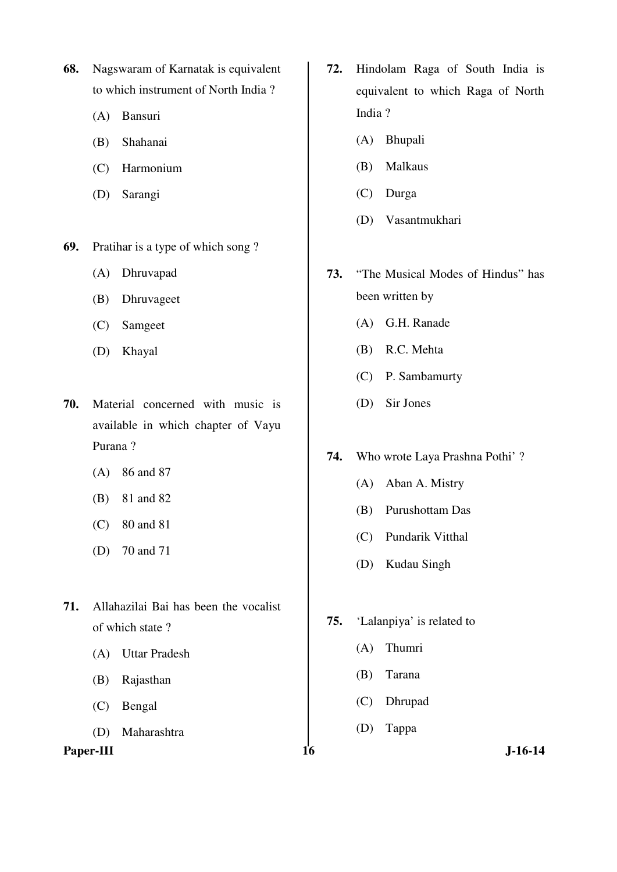- **68.** Nagswaram of Karnatak is equivalent to which instrument of North India ?
	- (A) Bansuri
	- (B) Shahanai
	- (C) Harmonium
	- (D) Sarangi
- **69.** Pratihar is a type of which song ?
	- (A) Dhruvapad
	- (B) Dhruvageet
	- (C) Samgeet
	- (D) Khayal
- **70.** Material concerned with music is available in which chapter of Vayu Purana ?
	- (A) 86 and 87
	- (B) 81 and 82
	- (C) 80 and 81
	- (D) 70 and 71
- **71.** Allahazilai Bai has been the vocalist of which state ?
	- (A) Uttar Pradesh
	- (B) Rajasthan
	- (C) Bengal
	- (D) Maharashtra

Paper-III **16** J-16-14

- **72.** Hindolam Raga of South India is equivalent to which Raga of North India ?
	- (A) Bhupali
	- (B) Malkaus
	- (C) Durga
	- (D) Vasantmukhari
- **73.** "The Musical Modes of Hindus" has been written by
	- (A) G.H. Ranade
	- (B) R.C. Mehta
	- (C) P. Sambamurty
	- (D) Sir Jones

### **74.** Who wrote Laya Prashna Pothi' ?

- (A) Aban A. Mistry
- (B) Purushottam Das
- (C) Pundarik Vitthal
- (D) Kudau Singh
- **75.** 'Lalanpiya' is related to
	- (A) Thumri
	- (B) Tarana
	- (C) Dhrupad
	- (D) Tappa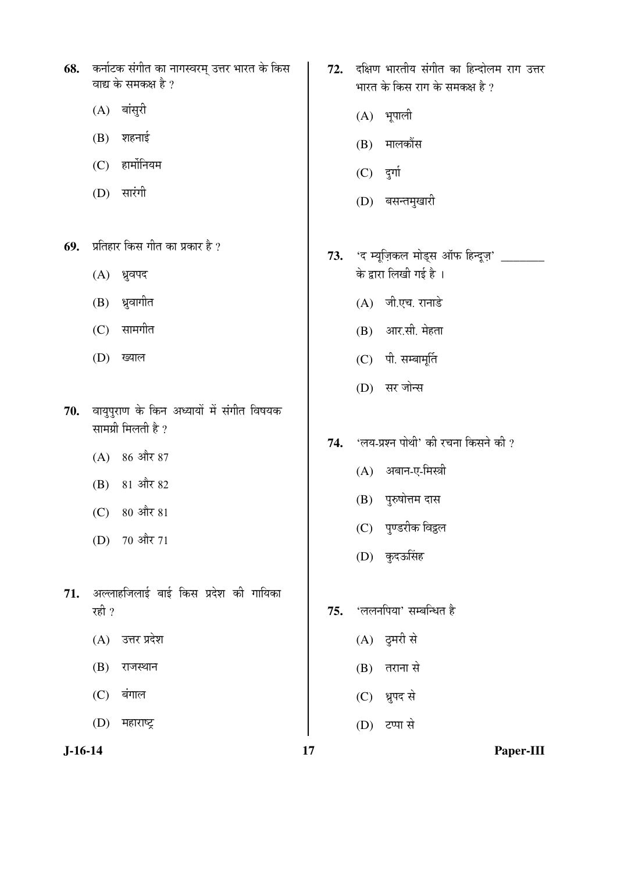- 68. कर्नाटक संगीत का नागस्वरम् उत्तर भारत के किस वाद्य के समकक्ष है ?
	- $(A)$  बांसुरी
	- $(B)$  शहनाई
	- $(C)$  हार्मोनियम
	- (D) सारंगी
- **69.** प्रतिहार किस गीत का प्रकार है ?
	- $(A)$  ध्रुवपद
	- $(B)$  ध्रुवागीत
	- $(C)$  सामगीत
	- (D) ख्याल
- 70. वायुपुराण के किन अध्यायों में संगीत विषयक सामग्री मिलती है ?
	- $(A)$  86 और 87
	- (B) 81 और 82
	- (C) 80 और 81
	- (D) 70 और 71
- 71. अल्लाहजिलाई बाई किस प्रदेश की गायिका रही $\gamma$ 
	- $(A)$  उत्तर प्रदेश
	- $(B)$  राजस्थान
	- $(C)$  बंगाल
	- $(D)$  महाराष्ट्र
- 72. दक्षिण भारतीय संगीत का हिन्दोलम राग उत्तर भारत के किस राग के समकक्ष है ?
	- $(A)$  भूपाली
	- (B) मालकौंस
	- $(C)$  दुर्गा
	- (D) बसन्तमुखारी
- **73.** 'द म्यूज़िकल मोड्स ऑफ हिन्दूज़' \_\_\_\_\_\_\_ के द्वारा लिखी गई है ।
	- $(A)$  जी.एच. रानाडे
	- (B) आर.सी. मेहता
	- $(C)$  पी. सम्बामूर्ति
	- (D) सर जोन्स
- 74. 'लय-प्रश्न पोथी' की रचना किसने की ?
	- $(A)$  अबान-ए-मिस्त्री
	- (B) पुरुषोत्तम दास
	- (C) पुण्डरीक विद्वल
	- (D) कुदऊसिंह
- 75. 'ललनपिया' सम्बन्धित है
	- $(A)$  दूमरी से
	- $(B)$  तराना से
	- (C) ध्रुपद से
	- (D) टप्पा से

**J-16-14 17 Paper-III**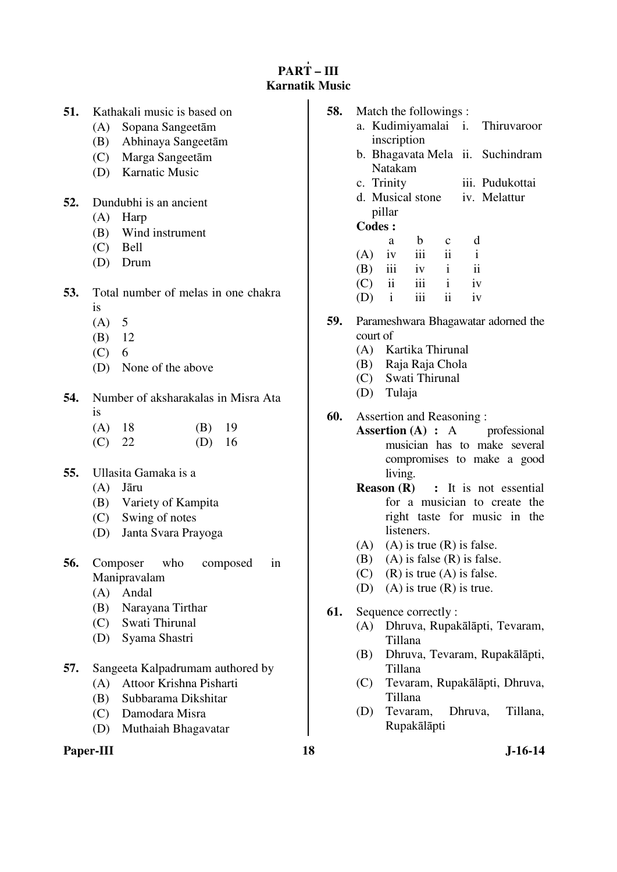## **PART – III Karnatik Music**

- **51.** Kathakali music is based on
	- (A) Sopana Sangeetām
	- (B) Abhinaya Sangeetām
	- (C) Marga Sangeetām
	- (D) Karnatic Music
- **52.** Dundubhi is an ancient
	- (A) Harp
	- (B) Wind instrument
	- (C) Bell
	- (D) Drum
- **53.** Total number of melas in one chakra
	- is
	- $(A)$  5
	- (B) 12
	- $(C) 6$
	- (D) None of the above
- **54.** Number of aksharakalas in Misra Ata is
	- (A) 18 (B) 19
	- (C) 22 (D) 16
- **55.** Ullasita Gamaka is a
	- (A) Jāru
	- (B) Variety of Kampita
	- (C) Swing of notes
	- (D) Janta Svara Prayoga
- **56.** Composer who composed in Manipravalam
	- (A) Andal
	- (B) Narayana Tirthar
	- (C) Swati Thirunal
	- (D) Syama Shastri
- **57.** Sangeeta Kalpadrumam authored by
	- (A) Attoor Krishna Pisharti
	- (B) Subbarama Dikshitar
	- (C) Damodara Misra
	- (D) Muthaiah Bhagavatar

#### Paper-III 18 J-16-14

- **58.** Match the followings :
	- a. Kudimiyamalai inscription **Thiruvaroor** 
		- b. Bhagavata Mela ii. Suchindram Natakam
		- c. Trinity iii. Pudukottai
		- d. Musical stone pillar iv. Melattur

## **Codes :**

|     | a       | b.             | $\mathbf{c}$            | d            |
|-----|---------|----------------|-------------------------|--------------|
|     |         | $(A)$ iv iii   | $\overline{\mathbf{u}}$ | $\mathbf{i}$ |
|     |         | $(B)$ iii iv   | $\mathbf{i}$            | ii           |
|     |         | $(C)$ ii iii i |                         | iv           |
| (D) | $i$ iii |                | ii                      | iv           |

- **59.** Parameshwara Bhagawatar adorned the court of
	- (A) Kartika Thirunal
	- (B) Raja Raja Chola
	- (C) Swati Thirunal
	- (D) Tulaja
- **60.** Assertion and Reasoning :
	- **Assertion (A) :** A professional musician has to make several compromises to make a good living.
	- **Reason (R) :** It is not essential for a musician to create the right taste for music in the listeners.
	- (A) (A) is true  $(R)$  is false.
	- (B) (A) is false  $(R)$  is false.
	- (C) (R) is true (A) is false.
	- (D) (A) is true  $(R)$  is true.

### **61.** Sequence correctly :

- (A) Dhruva, Rupakālāpti, Tevaram, Tillana
- (B) Dhruva, Tevaram, Rupakālāpti, Tillana
- (C) Tevaram, Rupakālāpti, Dhruva, Tillana
- (D) Tevaram, Dhruva, Tillana, Rupakālāpti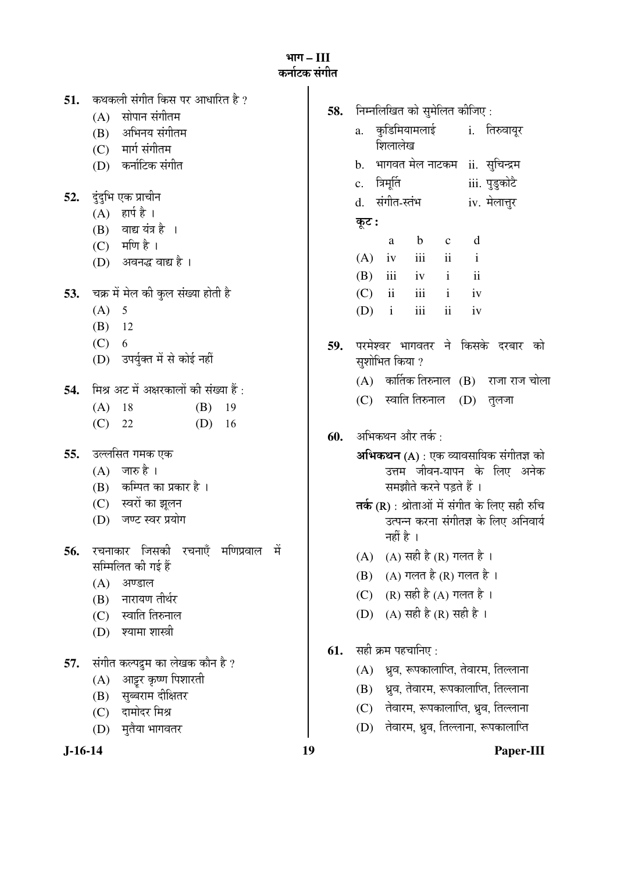³ÖÖÝÖ **– III**  कर्नाटक संग<mark>ी</mark>त

| 51.       | कथकली संगीत किस पर आधारित है ?          | 58. | निम्नलिखित को सुमेलित कीजिए :                       |
|-----------|-----------------------------------------|-----|-----------------------------------------------------|
|           | सोपान संगीतम<br>(A)                     |     |                                                     |
|           | (B) अभिनय संगीतम                        |     | कुडिमियामलाई i. तिरुवायूर<br>a.<br>शिलालेख          |
|           | (C) मार्ग संगीतम                        |     |                                                     |
|           | (D) कर्नाटिक संगीत                      |     | भागवत मेल नाटकम   ii.   सुचिन्द्रम<br>$\mathbf b$ . |
| 52.       | दुंदुभि एक प्राचीन                      |     | iii. पुडुकोटै<br>c. त्रिमूर्ति                      |
|           | $(A)$ हार्प है।                         |     | संगीत-स्तंभ<br>iv. मेलात्तुर<br>d.                  |
|           | $(B)$ वाद्य यंत्र है ।                  |     | कूट :                                               |
|           | $(C)$ मणि है।                           |     | d<br>$\mathbf b$<br>$\mathbf{C}$<br>a               |
|           | (D) अवनद्ध वाद्य है ।                   |     | iii<br>$\mathbf{ii}$<br>(A)<br>iv<br>$\mathbf{i}$   |
|           |                                         |     | $\mathbf{ii}$<br>(B)<br>iii<br>iv<br>$\mathbf{i}$   |
| 53.       | चक्र में मेल की कुल संख्या होती है      |     | iii<br>ii<br>(C)<br>$\mathbf{i}$<br>iv              |
|           | $(A)$ 5                                 |     | iii<br>$\ddot{\rm ii}$<br>$\mathbf{i}$<br>(D)<br>iv |
|           | $(B)$ 12                                |     |                                                     |
|           | $(C)$ 6                                 | 59. | परमेश्वर भागवतर ने किसके दरबार को                   |
|           | (D) उपर्युक्त में से कोई नहीं           |     | सुशोभित किया ?                                      |
| 54.       | मिश्र अट में अक्षरकालों की संख्या हैं : |     | $(A)$ कार्तिक तिरुनाल $(B)$ राजा राज चोला           |
|           | (B)<br>$(A)$ 18<br>19                   |     | स्वाति तिरुनाल<br>(C)<br>(D)<br>तुलजा               |
|           | $(C)$ 22<br>(D)<br>16                   |     |                                                     |
|           |                                         | 60. | अभिकथन और तर्क :                                    |
| 55.       | उल्लसित गमक एक                          |     | <b>अभिकथन (A)</b> : एक व्यावसायिक संगीतज्ञ को       |
|           | $(A)$ जारु है।                          |     | उत्तम जीवन-यापन के लिए अनेक                         |
|           | (B) कम्पित का प्रकार है।                |     | समझौते करने पड़ते हैं ।                             |
|           | (C) स्वरों का झूलन                      |     | तर्क (R) : श्रोताओं में संगीत के लिए सही रुचि       |
|           | (D) जण्ट स्वर प्रयोग                    |     | उत्पन्न करना संगीतज्ञ के लिए अनिवार्य               |
| 56.       | रचनाकार जिसकी रचनाएँ मणिप्रवाल में      |     | नहीं है ।                                           |
|           | सम्मिलित की गई हैं                      |     | (A) सही है (R) गलत है ।<br>(A)                      |
|           | (A)<br>अण्डाल                           |     | $(A)$ गलत है $(R)$ गलत है ।<br>(B)                  |
|           | नारायण तीर्थर<br>(B)                    |     | (R) सही है (A) गलत है।<br>(C)                       |
|           | स्वाति तिरुनाल<br>(C)                   |     | (A) सही है (R) सही है ।<br>(D)                      |
|           | श्यामा शास्त्री<br>(D)                  |     |                                                     |
|           |                                         | 61. | सही क्रम पहचानिए :                                  |
| 57.       | संगीत कल्पद्रुम का लेखक कौन है ?        |     | ध्रुव, रूपकालाप्ति, तेवारम, तिल्लाना<br>(A)         |
|           | आट्टर कृष्ण पिशारती<br>(A)              |     | ध्रुव, तेवारम, रूपकालाप्ति, तिल्लाना<br>(B)         |
|           | सुब्बराम दीक्षितर<br>(B)                |     | तेवारम, रूपकालाप्ति, ध्रुव, तिल्लाना<br>(C)         |
|           | दामोदर मिश्र<br>(C)<br>मुतैया भागवतर    |     | तेवारम, ध्रुव, तिल्लाना, रूपकालाप्ति<br>(D)         |
|           | (D)                                     |     |                                                     |
| $J-16-14$ |                                         | 19  | Paper-III                                           |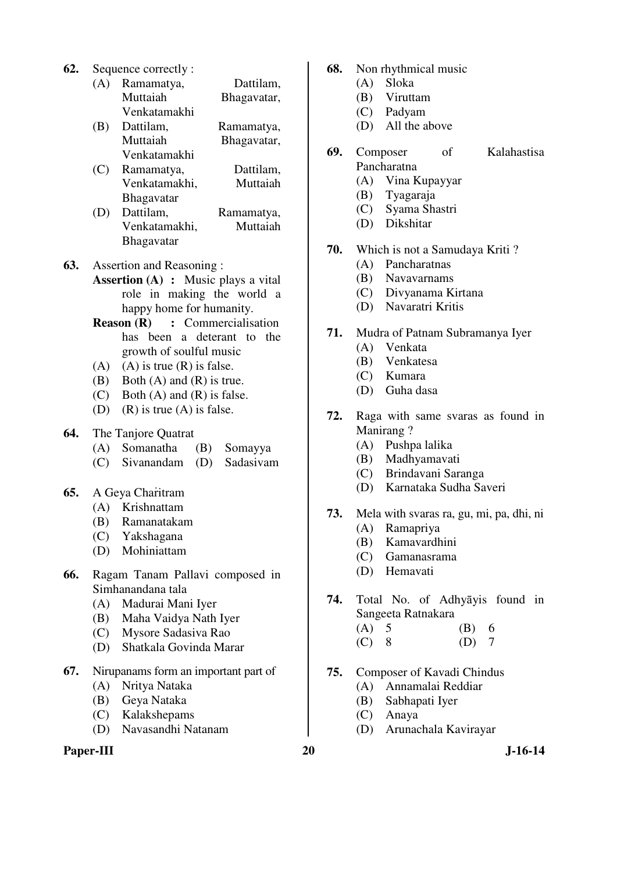**62.** Sequence correctly :

| (A) Ramamatya, | Dattilam,   |
|----------------|-------------|
| Muttaiah       | Bhagavatar, |
| Venkatamakhi   |             |

- (B) Dattilam, Ramamatya, Muttaiah Bhagavatar, Venkatamakhi
- (C) Ramamatya, Dattilam, Venkatamakhi, Muttaiah Bhagavatar

- (D) Dattilam, Ramamatya, Venkatamakhi, Muttaiah Bhagavatar
- **63.** Assertion and Reasoning :
	- **Assertion (A) :** Music plays a vital role in making the world a happy home for humanity.
	- **Reason (R) :** Commercialisation has been a deterant to the growth of soulful music
	- $(A)$  (A) is true  $(R)$  is false.
	- (B) Both (A) and (R) is true.
	- (C) Both (A) and (R) is false.
	- (D) (R) is true (A) is false.
- **64.** The Tanjore Quatrat
	- (A) Somanatha (B) Somayya
	- (C) Sivanandam (D) Sadasivam
- **65.** A Geya Charitram
	- (A) Krishnattam
	- (B) Ramanatakam
	- (C) Yakshagana
	- (D) Mohiniattam
- **66.** Ragam Tanam Pallavi composed in Simhanandana tala
	- (A) Madurai Mani Iyer
	- (B) Maha Vaidya Nath Iyer
	- (C) Mysore Sadasiva Rao
	- (D) Shatkala Govinda Marar
- **67.** Nirupanams form an important part of
	- (A) Nritya Nataka
	- (B) Geya Nataka
	- (C) Kalakshepams
	- (D) Navasandhi Natanam

### Paper-III 20 J-16-14

**68.** Non rhythmical music

- (A) Sloka
- (B) Viruttam
- (C) Padyam
- (D) All the above
- **69.** Composer of Kalahastisa Pancharatna
	- (A) Vina Kupayyar
	- (B) Tyagaraja
	- (C) Syama Shastri
	- (D) Dikshitar
- **70.** Which is not a Samudaya Kriti ?
	- (A) Pancharatnas
	- (B) Navavarnams
	- (C) Divyanama Kirtana
	- (D) Navaratri Kritis
- **71.** Mudra of Patnam Subramanya Iyer
	- (A) Venkata
	- (B) Venkatesa
	- (C) Kumara
	- (D) Guha dasa
- **72.** Raga with same svaras as found in Manirang ?
	- (A) Pushpa lalika
	- (B) Madhyamavati
	- (C) Brindavani Saranga
	- (D) Karnataka Sudha Saveri
- **73.** Mela with svaras ra, gu, mi, pa, dhi, ni
	- (A) Ramapriya
	- (B) Kamavardhini
	- (C) Gamanasrama
	- (D) Hemavati
- **74.** Total No. of Adhyāyis found in Sangeeta Ratnakara
	- (A) 5 (B) 6 (C) 8 (D) 7
	- $(C)$  8
- **75.** Composer of Kavadi Chindus
	- (A) Annamalai Reddiar
	- (B) Sabhapati Iyer
	- (C) Anaya
	- (D) Arunachala Kavirayar
-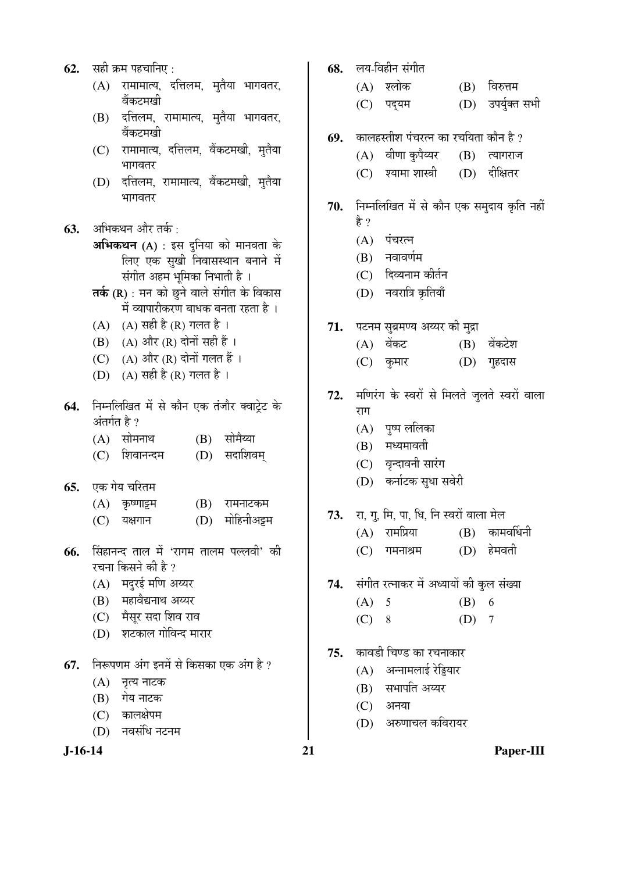- **62.** सही क्रम पहचानिए :
	- $(A)$  रामामात्य, दत्तिलम, मृतैया भागवतर, वेंकटमखी
	- (B) दत्तिलम, रामामात्य, मुतैया भागवतर, वेंकटमखी
	- (C) रामामात्य, दत्तिलम, वैंकटमखी, मृतैया भागवतर
	- (D) दत्तिलम, रामामात्य, वैंकटमखी, मुतैया भागवतर
- **63.** अभिकथन और तर्क :
	- $\mathbf{M}\mathbf{\hat{H}}$ कथन (A) : इस दुनिया को मानवता के लिए एक सुखी निवासस्थान बनाने में संगीत अहम भूमिका निभाती है ।
	- $\overline{\mathsf{a}}$ र्क (R) : मन को छूने वाले संगीत के विकास में व्यापारीकरण बाधक बनता रहता है।
	- (A)  $(A)$  सही है (R) गलत है।
	- $(B)$   $(A)$  और  $(R)$  दोनों सही हैं ।
	- (C)  $(A)$  और  $(R)$  दोनों गलत हैं।
	- (D)  $(A)$  सही है (R) गलत है।
- 64. निम्नलिखित में से कौन एक तंजौर क्वाटेट के अंतर्गत है $2$ 
	- (A) सोमनाथ (B) सोमैय्या
	- (C) शिवानन्दम (D) सदाशिवम्
- **65.** एक गेय चरितम

| (A) कृष्णाट्टम | (B) रामनाटकम    |
|----------------|-----------------|
| (C) यक्षगान    | (D) मोहिनीअट्टम |

- **66.** सिंहानन्द ताल में 'रागम तालम पल्लवी' की रचना किसने की है ?
	- (A) मदुरई मणि अय्यर
	- (B) महावैद्यनाथ अय्यर
	- (C) मैसूर सदा शिव राव
	- (D) शटकाल गोविन्द मारार
- **67.** निरूपणम अंग इनमें से किसका एक अंग है ?
	- (A) नृत्य नाटक
	- (B) गेय नाटक
	- (C) कालक्षेपम
	- (D) नवसंधि नटनम
- 68. लय-विहीन संगीत
	- (A) श्लोक (B) विरुत्तम
	- (C) पद्यम (D) उपर्युक्त सभी
- **69.** कालहस्तीश पंचरत्न का रचयिता कौन है ?
	- $(A)$  वीणा कृपैथ्यर  $(B)$  त्यागराज
		- (C) श्यामा शास्त्री (D) दीक्षितर
- 70. निम्नलिखित में से कौन एक समुदाय कृति नहीं हे ?
	- $(A)$  पंचरत्न
	- $(B)$  नवावर्णम
	- (C) दिव्यनाम कीर्तन
	- (D) नवरात्रि कृतियाँ
- 71. पटनम सुब्रमण्य अय्यर की मुद्रा
	- (A) वेंकट (B) वेंकटेश
	- (C) कुमार (D) गृहदास
- 72. मणिरंग के स्वरों से मिलते जुलते स्वरों वाला राग
	- $(A)$  पृष्प ललिका
	- $(B)$  मध्यमावती
	- (C) वृन्दावनी सारंग
	- (D) कर्नाटक सुधा सवेरी
- **73.** ∑रा, गु, मि, पा, धि, नि स्वरों वाला मेल
	- $(A)$  रामप्रिया  $(B)$  कामवर्धिनी
	- $(C)$  गमनाश्रम  $(D)$  हेमवती
- 74. संगीत रत्नाकर में अध्यायों की कुल संख्या
	- (A) 5 (B) 6
	- $(C) 8$  (D) 7
- 75. कावडी चिण्ड का रचनाकार
	- $(A)$  अन्नामलाई रेड्डियार
	- $(B)$  सभापति अय्यर
	- $(C)$  अनया
	- (D) अरुणाचल कविरायर
-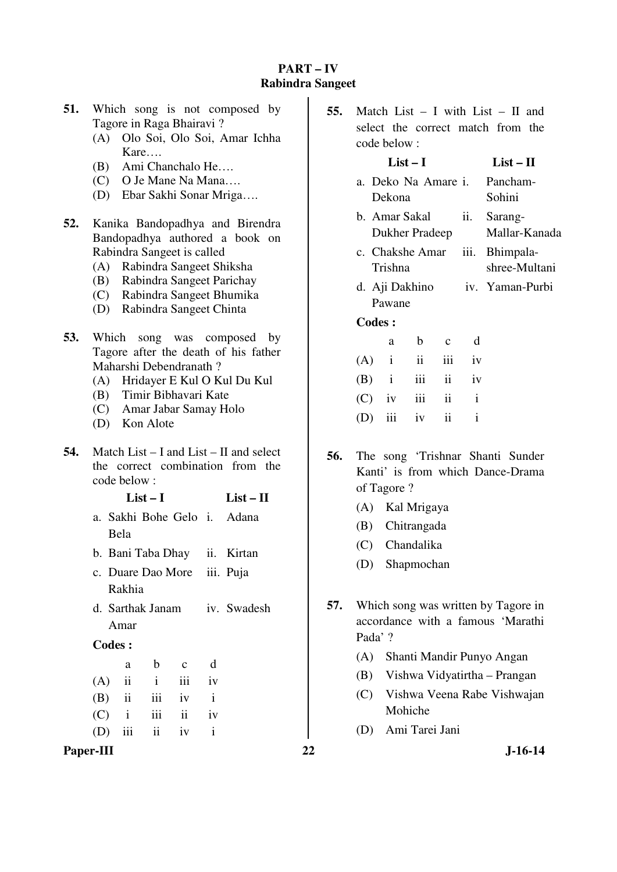## **PART – IV Rabindra Sangeet**

- **51.** Which song is not composed by Tagore in Raga Bhairavi ?
	- (A) Olo Soi, Olo Soi, Amar Ichha Kare….
	- (B) Ami Chanchalo He….
	- (C) O Je Mane Na Mana….
	- (D) Ebar Sakhi Sonar Mriga….
- **52.** Kanika Bandopadhya and Birendra Bandopadhya authored a book on Rabindra Sangeet is called
	- (A) Rabindra Sangeet Shiksha
	- (B) Rabindra Sangeet Parichay
	- (C) Rabindra Sangeet Bhumika
	- (D) Rabindra Sangeet Chinta
- **53.** Which song was composed by Tagore after the death of his father Maharshi Debendranath ?
	- (A) Hridayer E Kul O Kul Du Kul
	- (B) Timir Bibhavari Kate
	- (C) Amar Jabar Samay Holo
	- (D) Kon Alote
- **54.** Match List I and List II and select the correct combination from the code below :

### **List – I List – II**

- a. Sakhi Bohe Gelo i. Adana Bela
- b. Bani Taba Dhay ii. Kirtan
- c. Duare Dao More Rakhia iii. Puja
- d. Sarthak Janam Amar iv. Swadesh

#### **Codes :**

| $a \qquad$ |                    | b c d |  |
|------------|--------------------|-------|--|
|            | $(A)$ ii ii iii iv |       |  |
|            | $(B)$ ii iii iv i  |       |  |
|            | $(C)$ i iii ii iv  |       |  |
|            | $(D)$ iii ii iv i  |       |  |

### Paper-III 22 J-16-14

**55.** Match List – I with List – II and select the correct match from the code below :

# **List – I List – II**

- a. Deko Na Amare Dekona Pancham-Sohini
- b. Amar Sakal Dukher Pradeep ii. Sarang-Mallar-Kanada
- c. Chakshe Amar Trishna iii. Bhimpalashree-Multani
- d. Aji Dakhino Pawane iv. Yaman-Purbi

#### **Codes :**

|  | a b c d           |  |
|--|-------------------|--|
|  | $(A)$ i ii iii iv |  |
|  | $(B)$ i iii ii iv |  |
|  | $(C)$ iv iii ii i |  |
|  | (D) iii iv ii i   |  |

- **56.** The song 'Trishnar Shanti Sunder Kanti' is from which Dance-Drama of Tagore ?
	- (A) Kal Mrigaya
	- (B) Chitrangada
	- (C) Chandalika
	- (D) Shapmochan
- **57.** Which song was written by Tagore in accordance with a famous 'Marathi Pada' ?
	- (A) Shanti Mandir Punyo Angan
	- (B) Vishwa Vidyatirtha Prangan
	- (C) Vishwa Veena Rabe Vishwajan Mohiche
	- (D) Ami Tarei Jani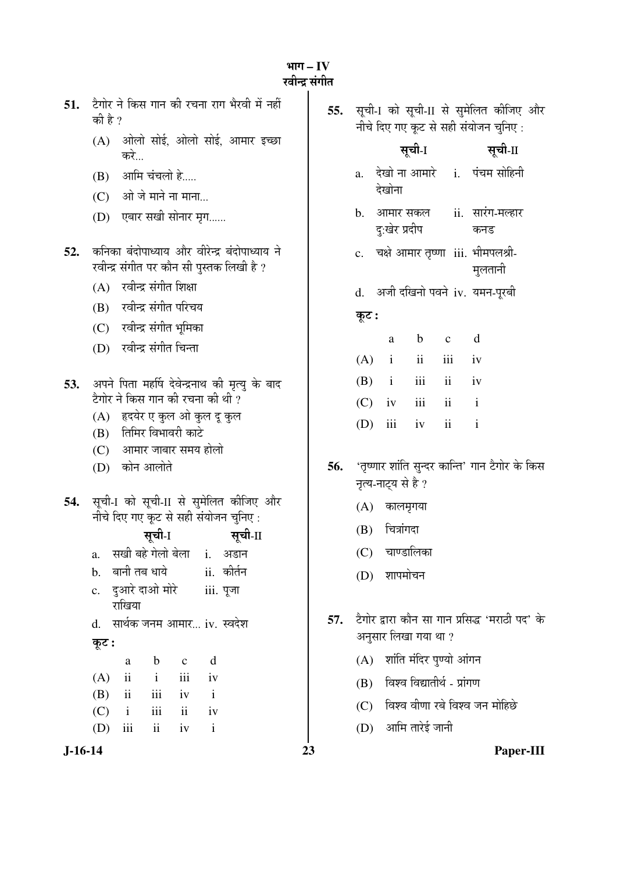³ÖÖÝÖ **– IV**  रवीन्द्र संगीत

| 51.       | टैगोर ने किस गान की रचना राग भैरवी में नहीं<br>की है ?                                                            | 55. |                |                           |                         |                             | सूची-1 को सूची-II से सुमेलित कीजिए और<br>नीचे दिए गए कूट से सही संयोजन चुनिए: |
|-----------|-------------------------------------------------------------------------------------------------------------------|-----|----------------|---------------------------|-------------------------|-----------------------------|-------------------------------------------------------------------------------|
|           | ओलो सोई, ओलो सोई, आमार इच्छा<br>(A)<br>करे…                                                                       |     |                |                           | सूची-I                  |                             | सूची-II                                                                       |
|           | आमि चंचलो हे<br>(B)                                                                                               |     | a.             |                           |                         |                             | देखो ना आमारे i. पंचम सोहिनी                                                  |
|           | ओ जे माने ना माना<br>(C)                                                                                          |     |                | देखोना                    |                         |                             |                                                                               |
|           | (D) एबार सखी सोनार मृग                                                                                            |     | $\mathbf{b}$ . | आमार सकल<br>दु:खेर प्रदीप |                         |                             | ii. सारंग-मल्हार<br>कनड                                                       |
| 52.       | कनिका बंदोपाध्याय और वीरेन्द्र बंदोपाध्याय ने<br>रवीन्द्र संगीत पर कौन सी पुस्तक लिखी है ?                        |     |                |                           |                         |                             | c. चक्षे आमार तृष्णा iii. भीमपलश्री-<br>मुलतानी                               |
|           | रवीन्द्र संगीत शिक्षा<br>(A)                                                                                      |     |                |                           |                         |                             | d. अजी दखिनो पवने iv. यमन-पूरबी                                               |
|           | रवीन्द्र संगीत परिचय<br>(B)                                                                                       |     | कूट :          |                           |                         |                             |                                                                               |
|           | (C) रवीन्द्र संगीत भूमिका                                                                                         |     |                |                           |                         |                             |                                                                               |
|           | रवीन्द्र संगीत चिन्ता<br>(D)                                                                                      |     |                | $\mathbf{a}$              | $\mathbf b$             | $\mathbf{C}$                | d                                                                             |
|           |                                                                                                                   |     | (A)            | $\mathbf{i}$              | $\overline{\mathbf{u}}$ | iii                         | iv                                                                            |
| 53.       | अपने पिता महर्षि देवेन्द्रनाथ की मृत्यु के बाद<br>टैगोर ने किस गान की रचना की थी ?                                |     | (B)            | $\mathbf{i}$              | iii                     | $\mathbf{ii}$               | iv                                                                            |
|           | हृदयेर ए कुल ओ कुल दू कुल<br>(A)                                                                                  |     | (C)            | iv                        | iii                     | $\mathbf{ii}$               | $\mathbf{i}$                                                                  |
|           | तिमिर विभावरी काटे<br>(B)                                                                                         |     | (D)            | iii                       | iv                      | $\mathbf{ii}$               | $\mathbf{i}$                                                                  |
|           | (C) आमार जाबार समय होलो                                                                                           |     |                |                           |                         |                             |                                                                               |
|           | कोन आलोते<br>(D)                                                                                                  | 56. |                | नृत्य-नाट्य से है ?       |                         |                             | 'तृष्णार शांति सुन्दर कान्ति' गान टैगोर के किस                                |
| 54.       | सूची-I को सूची-II से सुमेलित कीजिए और                                                                             |     | (A)            | कालमृगया                  |                         |                             |                                                                               |
|           | नीचे दिए गए कूट से सही संयोजन चुनिए:                                                                              |     | (B)            | चित्रांगदा                |                         |                             |                                                                               |
|           | सूची-1<br>सूची-II<br>सखी बहे गेलो बेला     i.<br>अडान                                                             |     |                | (C) चाण्डालिका            |                         |                             |                                                                               |
|           | a.<br>ii. कीर्तन<br>बानी तब धाये<br>$\mathbf b$ .                                                                 |     |                |                           |                         |                             |                                                                               |
|           | दुआरे दाओ मोरे<br>iii. पूजा<br>c.<br>राखिया                                                                       |     | (D)            | शापमोचन                   |                         |                             |                                                                               |
|           | सार्थक जनम आमार iv. स्वदेश<br>$\mathbf{d}$ .                                                                      | 57. |                |                           |                         |                             | टैगोर द्वारा कौन सा गान प्रसिद्ध 'मराठी पद' के                                |
|           | कूट :                                                                                                             |     |                | अनुसार लिखा गया था ?      |                         |                             |                                                                               |
|           | $\mathbf b$<br>d<br>$\mathbf{C}$<br>a                                                                             |     | (A)            |                           |                         | शांति मंदिर पुण्यो आंगन     |                                                                               |
|           | $\mathbf{ii}$<br>$\mathbf{i}$<br>iii<br>(A)<br>iv                                                                 |     | (B)            |                           |                         | विश्व विद्यातीर्थ - प्रांगण |                                                                               |
|           | (B)<br>$\overline{\mathbf{ii}}$<br>iii<br>$\mathbf{i}$<br>iv<br>iii<br>$\mathbf{ii}$<br>(C)<br>$\mathbf{i}$<br>iv |     | (C)            |                           |                         |                             | विश्व वीणा रबे विश्व जन मोहिछे                                                |
|           | ii<br>iii<br>iv<br>$\mathbf{i}$<br>(D)                                                                            |     | (D)            |                           | आमि तारेई जानी          |                             |                                                                               |
| $J-16-14$ | 23                                                                                                                |     |                |                           |                         |                             | Paper-III                                                                     |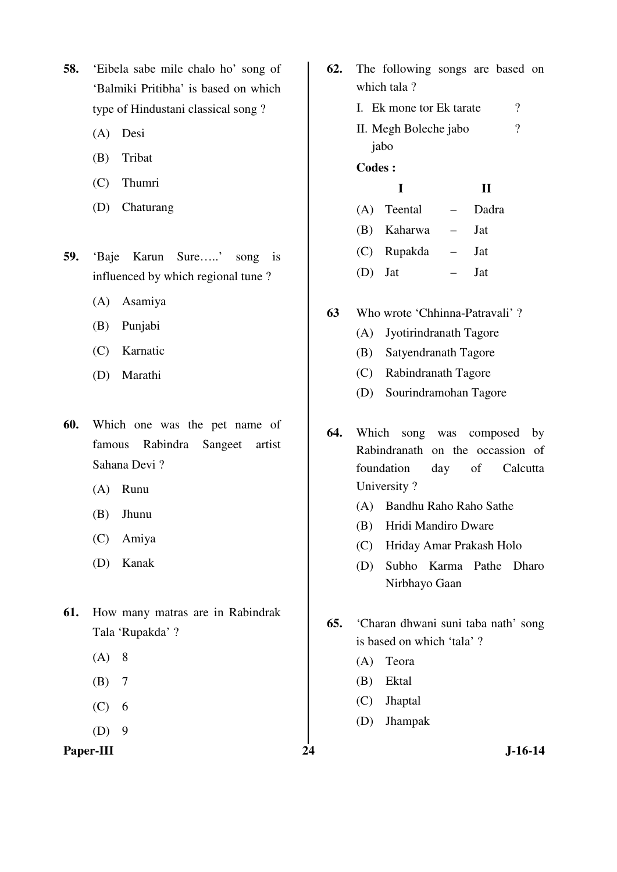- **58.** 'Eibela sabe mile chalo ho' song of 'Balmiki Pritibha' is based on which type of Hindustani classical song ?
	- (A) Desi
	- (B) Tribat
	- (C) Thumri
	- (D) Chaturang
- **59.** 'Baje Karun Sure…..' song is influenced by which regional tune ?
	- (A) Asamiya
	- (B) Punjabi
	- (C) Karnatic
	- (D) Marathi
- **60.** Which one was the pet name of famous Rabindra Sangeet artist Sahana Devi ?
	- (A) Runu
	- (B) Jhunu
	- (C) Amiya
	- (D) Kanak
- **61.** How many matras are in Rabindrak Tala 'Rupakda' ?
	- (A) 8
	- (B) 7
	- $(C)$  6
	- $(D)$  9
- **62.** The following songs are based on which tala ?
	- I. Ek mone tor Ek tarate ? II. Megh Boleche jabo jabo  $\gamma$

#### **Codes :**

### **I II**

|           | (A) Teental | Dadra      |
|-----------|-------------|------------|
|           | (B) Kaharwa | .lat       |
|           | (C) Rupakda | .lat       |
| $(D)$ Jat |             | <b>Jat</b> |

- **63** Who wrote 'Chhinna-Patravali' ?
	- (A) Jyotirindranath Tagore
	- (B) Satyendranath Tagore
	- (C) Rabindranath Tagore
	- (D) Sourindramohan Tagore
- **64.** Which song was composed by Rabindranath on the occassion of foundation day of Calcutta University ?
	- (A) Bandhu Raho Raho Sathe
	- (B) Hridi Mandiro Dware
	- (C) Hriday Amar Prakash Holo
	- (D) Subho Karma Pathe Dharo Nirbhayo Gaan
- **65.** 'Charan dhwani suni taba nath' song is based on which 'tala' ?
	- (A) Teora
	- (B) Ektal
	- (C) Jhaptal
	- (D) Jhampak
- Paper-III 24 J-16-14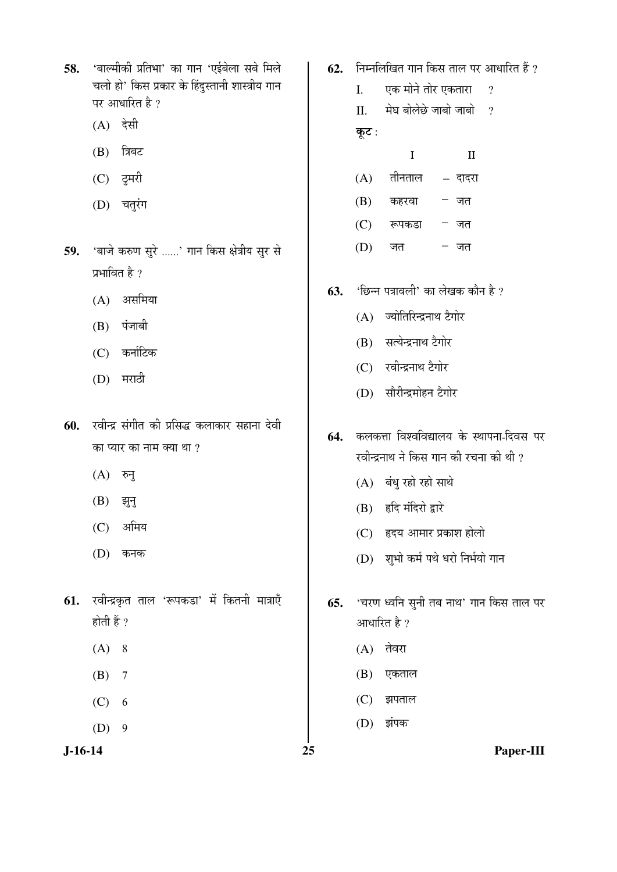58. 'बाल्मीकी प्रतिभा' का गान 'एईबेला सबे मिले चलो हो' किस प्रकार के हिंदुस्तानी शास्त्रीय गान पर आधारित है ?

- $(A)$  देसी
- $(B)$  त्रिबट
- (C) दूमरी
- (D) चतुरंग
- 59. 'बाजे करुण सुरे ......' गान किस क्षेत्रीय सुर से प्रभावित है ?
	- $(A)$  असमिया
	- $(B)$  पंजाबी
	- $(C)$  कर्नाटिक
	- $(D)$  मराठी
- 60. रवीन्द्र संगीत की प्रसिद्ध कलाकार सहाना देवी का प्यार का नाम क्या था  $\gamma$ 
	- $(A)$  रुनु
	- $(B)$  झुन्
	- (C) अमिय
	- $(D)$  कनक
- **61.** रवीन्द्रकृत ताल 'रूपकडा' में कितनी मात्राएँ होती हैं ?
	- $(A) 8$
	- (B) 7
	- $(C) 6$
	- $(D)$  9

- **62.** FET FED FOR THE FR FR FR FR FR FR FR FR 1990
	- I. एक मोने तोर एकतारा ?
	- $II$   $\vec{v}$  मेघ बोलेछे जाबो जाबो ।? कूट:
		- I II
	- $(A)$  तीनताल दादरा
	- $(B)$  कहरवा जत
	- $(C)$  रूपकडा जत
	- $(D)$  जत जत
- **63.** 'छिन्न पत्रावली' का लेखक कौन है ?
	- $(A)$  ज्योतिरिन्द्रनाथ टैगोर
	- (B) सत्येन्द्रनाथ टैगोर
	- (C) रवीन्द्रनाथ टैगोर
	- (D) सौरीन्द्रमोहन टैगोर
- 64. कलकत्ता विश्वविद्यालय के स्थापना-दिवस पर रवीन्द्रनाथ ने किस गान की रचना की थी ?
	- $(A)$  बंधु रहो रहो साथे
	- $(B)$  हृदि मंदिरो द्वारे
	- (C) हृदय आमार प्रकाश होलो
	- (D) शुभो कर्म पथे धरो निर्भयो गान
- **65.** 'चरण ध्वनि सुनी तब नाथ' गान किस ताल पर आधारित है ?
	- $(A)$  तेवरा
	- $(B)$  एकताल
	- $(C)$  झपताल
	- (D) झंपक

**J-16-14 25 Paper-III**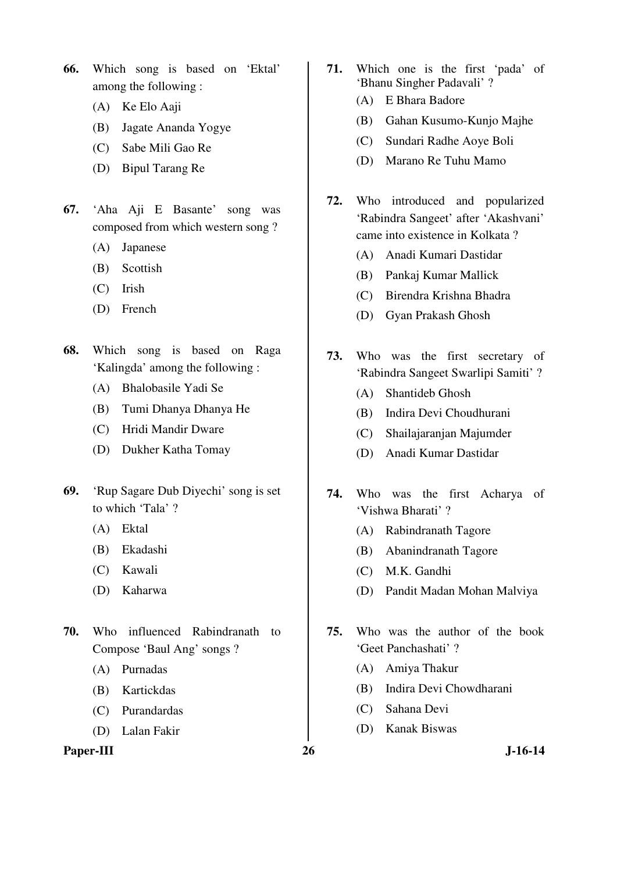**66.** Which song is based on 'Ektal' among the following :

- (A) Ke Elo Aaji
- (B) Jagate Ananda Yogye
- (C) Sabe Mili Gao Re
- (D) Bipul Tarang Re
- **67.** 'Aha Aji E Basante' song was composed from which western song ?
	- (A) Japanese
	- (B) Scottish
	- (C) Irish
	- (D) French
- **68.** Which song is based on Raga 'Kalingda' among the following :
	- (A) Bhalobasile Yadi Se
	- (B) Tumi Dhanya Dhanya He
	- (C) Hridi Mandir Dware
	- (D) Dukher Katha Tomay
- **69.** 'Rup Sagare Dub Diyechi' song is set to which 'Tala' ?
	- (A) Ektal
	- (B) Ekadashi
	- (C) Kawali
	- (D) Kaharwa
- **70.** Who influenced Rabindranath to Compose 'Baul Ang' songs ?
	- (A) Purnadas
	- (B) Kartickdas
	- (C) Purandardas
	- (D) Lalan Fakir

#### Paper-III 26 J-16-14

- **71.** Which one is the first 'pada' of 'Bhanu Singher Padavali' ?
	- (A) E Bhara Badore
	- (B) Gahan Kusumo-Kunjo Majhe
	- (C) Sundari Radhe Aoye Boli
	- (D) Marano Re Tuhu Mamo
- **72.** Who introduced and popularized 'Rabindra Sangeet' after 'Akashvani' came into existence in Kolkata ?
	- (A) Anadi Kumari Dastidar
	- (B) Pankaj Kumar Mallick
	- (C) Birendra Krishna Bhadra
	- (D) Gyan Prakash Ghosh
- **73.** Who was the first secretary of 'Rabindra Sangeet Swarlipi Samiti' ?
	- (A) Shantideb Ghosh
	- (B) Indira Devi Choudhurani
	- (C) Shailajaranjan Majumder
	- (D) Anadi Kumar Dastidar
- **74.** Who was the first Acharya of 'Vishwa Bharati' ?
	- (A) Rabindranath Tagore
	- (B) Abanindranath Tagore
	- (C) M.K. Gandhi
	- (D) Pandit Madan Mohan Malviya
- **75.** Who was the author of the book 'Geet Panchashati' ?
	- (A) Amiya Thakur
	- (B) Indira Devi Chowdharani
	- (C) Sahana Devi
	- (D) Kanak Biswas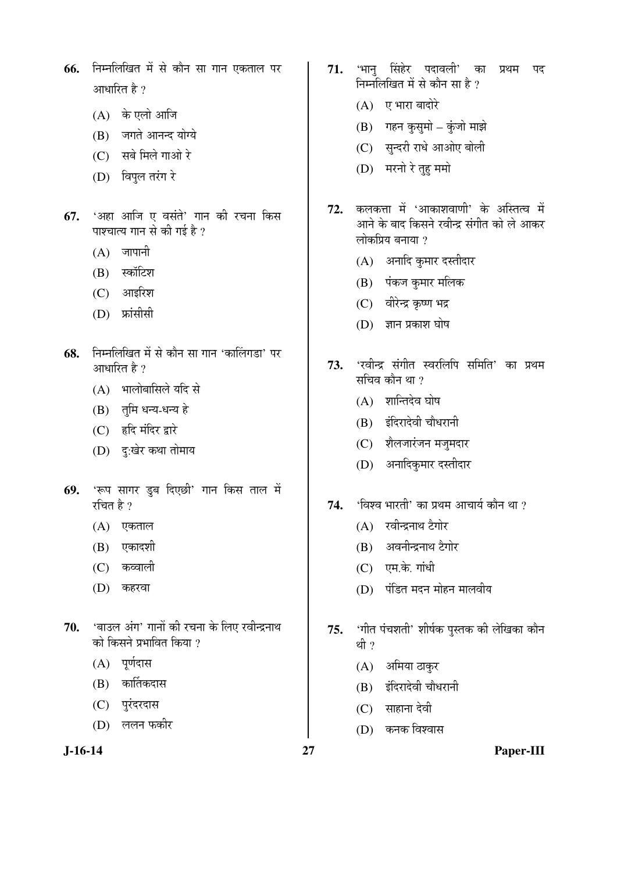- **66.** निम्नलिखित में से कौन सा गान एकताल पर आधारित है $|2\rangle$ 
	- (A) के एलो आजि
	- (B) जगते आनन्द योग्ये
	- $(C)$  सबे मिले गाओ रे
	- (D) विपुल तरंग रे
- 67. 'अहा आजि ए वसंते' गान की रचना किस पाश्चात्य गान से की गई है ?
	- $(A)$  जापानी
	- (B) स्कॉटिश
	- $(C)$  आइरिश
	- (D) फ्रांसीसी
- 68. निम्नलिखित में से कौन सा गान 'कालिंगडा' पर आधारित है ?
	- (A) भालोबासिले यदि से
	- (B) तुमि धन्य-धन्य हे
	- (C) हृदि मंदिर द्वारे
	- (D) द:खेर कथा तोमाय
- **69.** 'रूप सागर डूब दिएछी' गान किस ताल में रचित है $\gamma$ 
	- $(A)$  एकताल
	- $(B)$  एकादशी
	- (C) कव्वाली
	- (D) कहरवा
- 70. 'बाउल अंग' गानों की रचना के लिए रवीन्द्रनाथ को किसने प्रभावित किया ?
	- $(A)$  पूर्णदास
	- $(B)$  कार्तिकदास
	- (C) पुरंदरदास
	- $(D)$  ललन फकीर
- 71. 'भान् सिंहेर पदावली' का प्रथम पद निम्नलिखित में से कौन सा $\,$ है ?
	- $(A)$  ए भारा बादोरे
	- (B) गहन कुसुमो कुंजो माझे
	- (C) सुन्दरी राधे आओए बोली
	- (D) मरनो रे तुह ममो
- 72. कलकत्ता में 'आकाशवाणी' के अस्तित्व में आने के बाद किसने रवीन्द्र संगीत को ले आकर लोकप्रिय बनाया ?
	- (A) अनादि कुमार दस्तीदार
	- (B) पंकज कुमार मलिक
	- (C) वीरेन्द्र कृष्ण भद्र
	- $(D)$  ज्ञान प्रकाश घोष
- 73. 'रवीन्द्र संगीत स्वरलिपि समिति' का प्रथम सचिव कौन था $?$ 
	- $(A)$  शान्तिदेव घोष
	- (B) इंदिरादेवी चौधरानी
	- (C) शैलजारंजन मजुमदार
	- (D) अनादिकुमार दस्तीदार
- **74.** 'विश्व भारती' का प्रथम आचार्य कौन था ?
	- (A) रवीन्द्रनाथ टैगोर
	- (B) अवनीन्द्रनाथ टैगोर
	- $(C)$  एम.के. गांधी
	- (D) पंडित मदन मोहन मालवीय
- 75. 'गीत पंचशती' शीर्षक पुस्तक की लेखिका कौन थी ?
	- (A) अमिया ठाकुर
	- (B) इंदिरादेवी चौधरानी
	- $(C)$  साहाना देवी
	- (D) कनक विश्वास
- **J-16-14 27 Paper-III**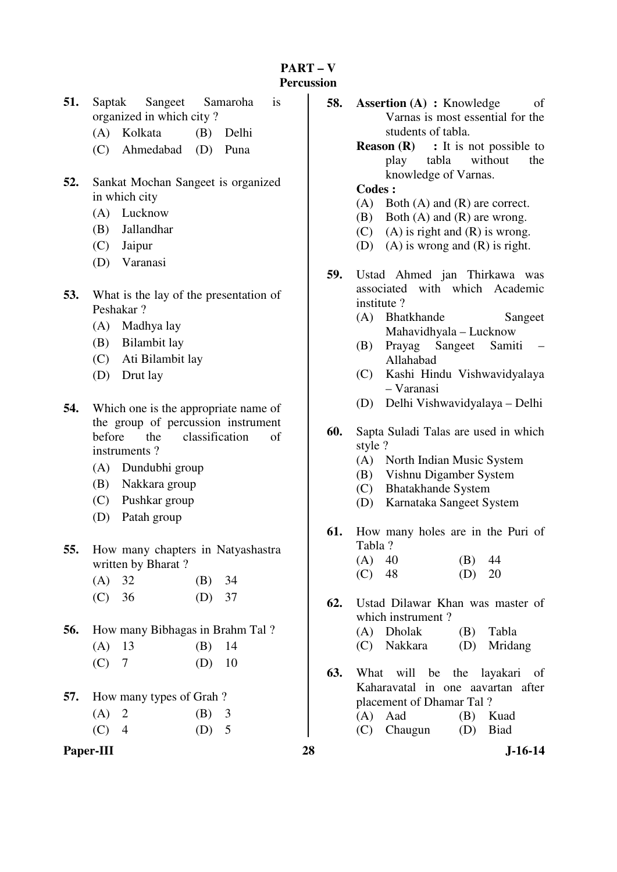#### **PART – V Percussion**

- **51.** Saptak Sangeet Samaroha is organized in which city ?
	- (A) Kolkata (B) Delhi
	- (C) Ahmedabad (D) Puna
- **52.** Sankat Mochan Sangeet is organized in which city
	- (A) Lucknow
	- (B) Jallandhar
	- (C) Jaipur
	- (D) Varanasi
- **53.** What is the lay of the presentation of Peshakar ?
	- (A) Madhya lay
	- (B) Bilambit lay
	- (C) Ati Bilambit lay
	- (D) Drut lay
- **54.** Which one is the appropriate name of the group of percussion instrument before the classification of instruments ?
	- (A) Dundubhi group
	- (B) Nakkara group
	- (C) Pushkar group
	- (D) Patah group
- **55.** How many chapters in Natyashastra written by Bharat ?
	- (A) 32 (B) 34 (C) 36 (D) 37
- **56.** How many Bibhagas in Brahm Tal ?

| $(A)$ 13 | $(B)$ 14 |  |
|----------|----------|--|
|----------|----------|--|

| $(C)$ 7 | $(D)$ 10 |  |
|---------|----------|--|
|---------|----------|--|

- **57.** How many types of Grah ?
	- $(A) 2 (B) 3$
	- $(C)$  4 (D) 5
- **Paper-III 28 J-16-14**
- **58. Assertion (A) : Knowledge** of Varnas is most essential for the students of tabla.
	- **Reason (R)** : It is not possible to play tabla without the knowledge of Varnas.

#### **Codes :**

- (A) Both (A) and (R) are correct.
- (B) Both (A) and (R) are wrong.
- (C) (A) is right and  $(R)$  is wrong.
- (D) (A) is wrong and (R) is right.
- **59.** Ustad Ahmed jan Thirkawa was associated with which Academic institute ?
	- (A) Bhatkhande Sangeet Mahavidhyala – Lucknow
	- (B) Prayag Sangeet Samiti Allahabad
	- (C) Kashi Hindu Vishwavidyalaya – Varanasi
	- (D) Delhi Vishwavidyalaya Delhi
- **60.** Sapta Suladi Talas are used in which style ?
	- (A) North Indian Music System
	- (B) Vishnu Digamber System
	- (C) Bhatakhande System
	- (D) Karnataka Sangeet System
- **61.** How many holes are in the Puri of Tabla ? (A) 40 (B) 44
	- (C) 48 (D) 20
- **62.** Ustad Dilawar Khan was master of which instrument ? (A) Dholak (B) Tabla
	- (C) Nakkara (D) Mridang
- **63.** What will be the layakari of Kaharavatal in one aavartan after placement of Dhamar Tal ? (A) Aad (B) Kuad (C) Chaugun (D) Biad
	-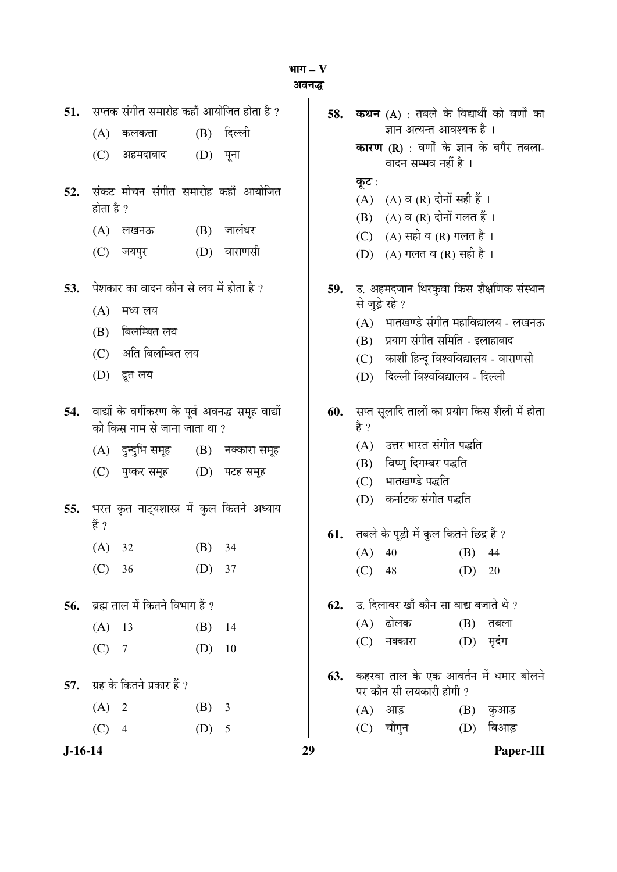³ÖÖÝÖ **– V** 

अवनद्ध

| 51.       |                                        | सप्तक संगीत समारोह कहाँ आयोजित होता है ?         | 58. |                | कथन (A) : तबले के विद्यार्थी को वर्णों का                               |           |
|-----------|----------------------------------------|--------------------------------------------------|-----|----------------|-------------------------------------------------------------------------|-----------|
|           | (A)<br>कलकत्ता                         | दिल्ली<br>(B)                                    |     |                | ज्ञान अत्यन्त आवश्यक है ।                                               |           |
|           | (C)<br>अहमदाबाद                        | (D)<br>पूना                                      |     |                | <b>कारण (R)</b> : वर्णों के ज्ञान के बगैर तबला-<br>वादन सम्भव नहीं है । |           |
| 52.       |                                        | संकट मोचन संगीत समारोह कहाँ आयोजित               |     | कूट :          |                                                                         |           |
|           | होता है ?                              |                                                  |     |                | (A) (A) व (R) दोनों सही हैं ।                                           |           |
|           |                                        |                                                  |     | (B)            | (A) व (R) दोनों गलत हैं।                                                |           |
|           | (A)<br>लखनऊ                            | जालंधर<br>(B)                                    |     | (C)            | (A) सही व (R) गलत है।                                                   |           |
|           | (C)<br>जयपुर                           | वाराणसी<br>(D)                                   |     |                | (D) (A) गलत व (R) सही है ।                                              |           |
| 53.       | पेशकार का वादन कौन से लय में होता है ? |                                                  |     |                | 59. उ. अहमदजान थिरकुवा किस शैक्षणिक संस्थान                             |           |
|           | (A)<br>मध्य लय                         |                                                  |     | से जुड़े रहे ? |                                                                         |           |
|           | बिलम्बित लय<br>(B)                     |                                                  |     |                | (A) भातखण्डे संगीत महाविद्यालय - लखनऊ                                   |           |
|           | अति बिलम्बित लय<br>(C)                 |                                                  |     | (B)            | प्रयाग संगीत समिति - इलाहाबाद                                           |           |
|           | (D)<br>द्रूत लय                        |                                                  |     | (C)<br>(D)     | काशी हिन्दू विश्वविद्यालय - वाराणसी<br>दिल्ली विश्वविद्यालय - दिल्ली    |           |
|           |                                        |                                                  |     |                |                                                                         |           |
| 54.       |                                        | वाद्यों के वर्गीकरण के पूर्व अवनद्ध समूह वाद्यों | 60. |                | सप्त सूलादि तालों का प्रयोग किस शैली में होता                           |           |
|           | को किस नाम से जाना जाता था ?           |                                                  |     | है ?           |                                                                         |           |
|           | (A) दुन्दुभि समूह                      | $(B)$ नक्कारा समूह                               |     | (A)            | उत्तर भारत संगीत पद्धति                                                 |           |
|           | (C)<br>पुष्कर समूह                     | (D) पटह समूह                                     |     | (B)<br>(C)     | विष्णु दिगम्बर पद्धति<br>भातखण्डे पद्धति                                |           |
|           |                                        |                                                  |     | (D)            | कर्नाटक संगीत पद्धति                                                    |           |
| 55.       | हैं ?                                  | भरत कृत नाट्यशास्त्र में कुल कितने अध्याय        |     |                |                                                                         |           |
|           |                                        |                                                  | 61. |                | तबले के पूड़ी में कुल कितने छिद्र हैं ?                                 |           |
|           | (A)<br>32                              | (B)<br>34                                        |     | $(A)$ 40       | (B)                                                                     | 44        |
|           | (C) 36                                 | (D) 37                                           |     | (C)<br>48      | (D)                                                                     | 20        |
| 56.       | ब्रह्म ताल में कितने विभाग हैं ?       |                                                  | 62. |                | उ. दिलावर खाँ कौन सा वाद्य बजाते थे ?                                   |           |
|           | (A)<br>13                              | (B)<br>14                                        |     | (A) ढोलक       | (B)                                                                     | तबला      |
|           | (C)<br>$\overline{7}$                  | (D)<br>10                                        |     | नक्कारा<br>(C) | (D)                                                                     | मृदंग     |
| 57.       | ग्रह के कितने प्रकार हैं ?             |                                                  | 63. |                | कहरवा ताल के एक आवर्तन में धमार बोलने<br>पर कौन सी लयकारी होगी ?        |           |
|           | $(A)$ 2                                | (B)<br>$\overline{3}$                            |     | आड़<br>(A)     | (B)                                                                     | कुआड़     |
|           | (C)<br>$\overline{4}$                  | $(D)$ 5                                          |     | (C) चौगुन      | (D)                                                                     | बिआड़     |
| $J-16-14$ |                                        |                                                  | 29  |                |                                                                         | Paper-III |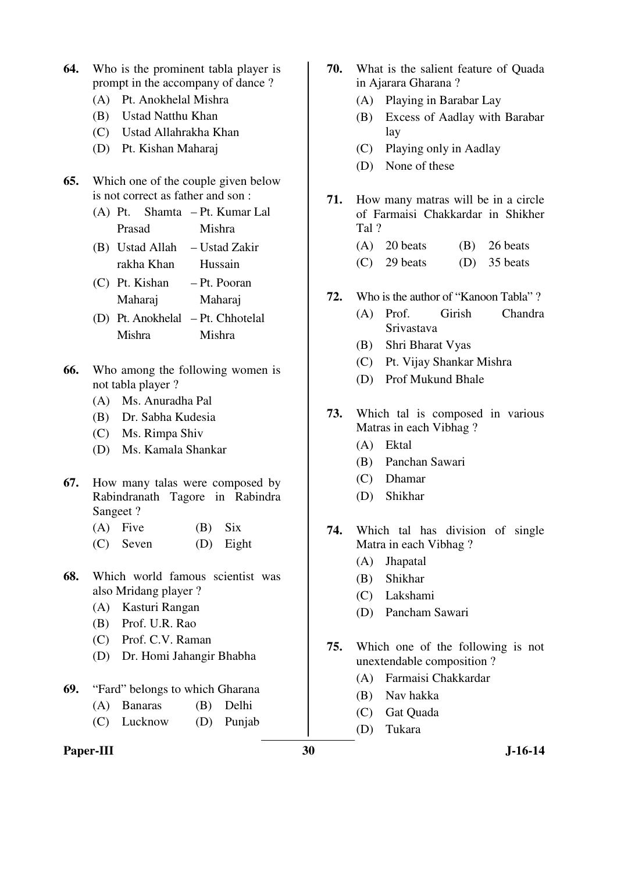- **64.** Who is the prominent tabla player is prompt in the accompany of dance ?
	- (A) Pt. Anokhelal Mishra
	- (B) Ustad Natthu Khan
	- (C) Ustad Allahrakha Khan
	- (D) Pt. Kishan Maharaj
- **65.** Which one of the couple given below is not correct as father and son :
	- $(A)$  Pt. Prasad Shamta – Pt. Kumar Lal Mishra
	- (B) Ustad Allah rakha Khan – Ustad Zakir Hussain
	- (C) Pt. Kishan Maharaj – Pt. Pooran Maharaj
	- (D) Pt. Anokhelal Pt. Chhotelal Mishra Mishra
- **66.** Who among the following women is not tabla player ?
	- (A) Ms. Anuradha Pal
	- (B) Dr. Sabha Kudesia
	- (C) Ms. Rimpa Shiv
	- (D) Ms. Kamala Shankar
- **67.** How many talas were composed by Rabindranath Tagore in Rabindra Sangeet ?
	- $(A)$  Five  $(B)$  Six
	- (C) Seven (D) Eight
- **68.** Which world famous scientist was also Mridang player ?
	- (A) Kasturi Rangan
	- (B) Prof. U.R. Rao
	- (C) Prof. C.V. Raman
	- (D) Dr. Homi Jahangir Bhabha
- **69.** "Fard" belongs to which Gharana
	- (A) Banaras (B) Delhi
	- (C) Lucknow (D) Punjab
- **70.** What is the salient feature of Quada in Ajarara Gharana ?
	- (A) Playing in Barabar Lay
	- (B) Excess of Aadlay with Barabar lay
	- (C) Playing only in Aadlay
	- (D) None of these
- **71.** How many matras will be in a circle of Farmaisi Chakkardar in Shikher Tal ?
	- (A) 20 beats (B) 26 beats
	- $(C)$  29 beats  $(D)$  35 beats
- **72.** Who is the author of "Kanoon Tabla" ?
	- (A) Prof. Girish Chandra Srivastava
	- (B) Shri Bharat Vyas
	- (C) Pt. Vijay Shankar Mishra
	- (D) Prof Mukund Bhale
- **73.** Which tal is composed in various Matras in each Vibhag ?
	- (A) Ektal
	- (B) Panchan Sawari
	- (C) Dhamar
	- (D) Shikhar
- **74.** Which tal has division of single Matra in each Vibhag ?
	- (A) Jhapatal
	- (B) Shikhar
	- (C) Lakshami
	- (D) Pancham Sawari
- **75.** Which one of the following is not unextendable composition ?
	- (A) Farmaisi Chakkardar
	- (B) Nav hakka
	- (C) Gat Quada
	- (D) Tukara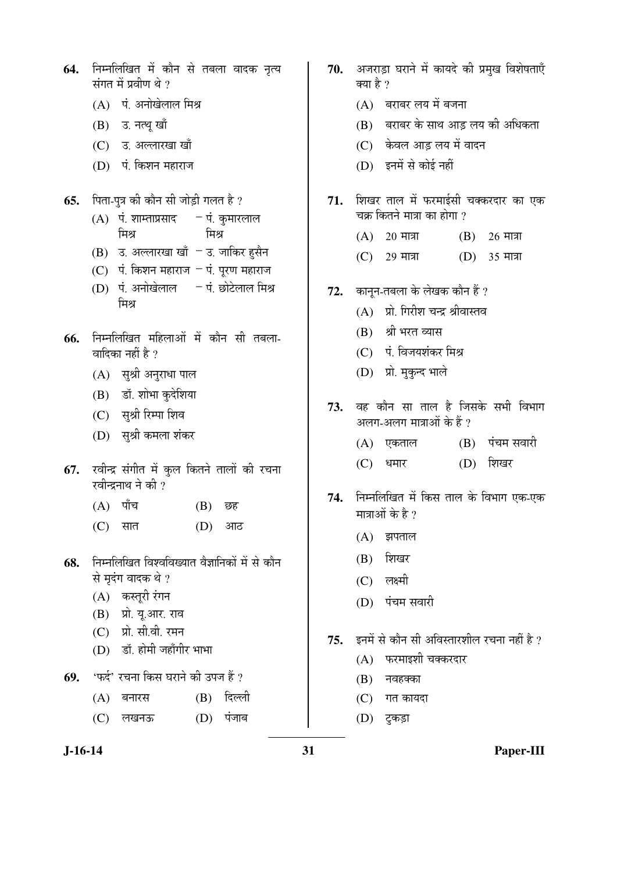| 64. | निम्नलिखित में कौन से तबला वादक नृत्य<br>संगत में प्रवीण थे ? |                                                                      |        |             |
|-----|---------------------------------------------------------------|----------------------------------------------------------------------|--------|-------------|
|     |                                                               | (A) पं. अनोखेलाल मिश्र                                               |        |             |
|     |                                                               | (B) उ. नत्थू खाँ                                                     |        |             |
|     |                                                               | (C) उ. अल्लारखा खाँ                                                  |        |             |
|     |                                                               | (D) पं. किशन महाराज                                                  |        |             |
| 65. |                                                               | पिता-पुत्र की कौन सी जोड़ी गलत है ?                                  |        |             |
|     |                                                               | (A) पं. शाम्ताप्रसाद - पं. कुमारलाल<br>मिश्र                         | ਸਿੰਸ   |             |
|     |                                                               | (B) उ. अल्लारखा खाँ – उ. जाकिर हुसैन                                 |        |             |
|     |                                                               | (C) पं. किशन महाराज – पं. पूरण महाराज                                |        |             |
|     |                                                               | (D) पं. अनोखेलाल     – पं. छोटेलाल मिश्र<br>मिश्र                    |        |             |
| 66. |                                                               | निम्नलिखित महिलाओं में कौन सी तबला-<br>वादिका नहीं है ?              |        |             |
|     |                                                               | (A) सुश्री अनुराधा पाल                                               |        |             |
|     |                                                               | (B) डॉ. शोभा कुदेशिया                                                |        |             |
|     |                                                               | (C) सुश्री रिम्पा शिव                                                |        |             |
|     |                                                               | (D)    सुश्री कमला शंकर                                              |        |             |
| 67. |                                                               | रवीन्द्र संगीत में कुल कितने तालों की रचना<br>रवीन्द्रनाथ ने की ?    |        |             |
|     |                                                               | $(A)$ पाँच                                                           | (B) छह |             |
|     |                                                               | (C) सात                                                              | (D) आठ |             |
| 68. |                                                               | निम्नलिखित विश्वविख्यात वैज्ञानिकों में से कौन<br>से मृदंग वादक थे ? |        |             |
|     |                                                               | (A) कस्तूरी रंगन                                                     |        |             |
|     |                                                               | (B) प्रो. यू.आर. राव                                                 |        |             |
|     |                                                               | (C) प्रो. सी.वी. रमन                                                 |        |             |
|     |                                                               | (D) डॉ. होमी जहाँगीर भाभा                                            |        |             |
|     |                                                               | 69. 'फर्द' रचना किस घराने की उपज हैं ?                               |        |             |
|     |                                                               | (A) बनारस                                                            |        | (B) दिल्ली  |
|     |                                                               | (C) लखनऊ                                                             |        | $(D)$ पंजाब |

- 70. अजराड़ा घराने में कायदे की प्रमुख विशेषताएँ क्या है ?  $(A)$  बराबर लय में बजना  $(B)$  बराबर के साथ आड़ लय की अधिकता (C) केवल आड़ लय में वादन (D) इनमें से कोई नहीं 71. शिखर ताल में फरमाईसी चक्करदार का एक चक्र कितने मात्रा का होगा ?  $(A)$  20 मात्रा  $(B)$  26 मात्रा  $(C)$  29 मात्रा  $(D)$  35 मात्रा **72.** कानून-तबला के लेखक कौन हैं ?  $(A)$  प्रो. गिरीश चन्द्र श्रीवास्तव (B) श्री भरत व्यास (C) पं. विजयशंकर मिश्र (D) प्रो. मुकुन्द भाले 73. वह कौन सा ताल है जिसके सभी विभाग अलग-अलग मात्राओं के हैं ?  $(A)$  एकताल  $(B)$  पंचम सवारी (C) धमार (D) शिखर 74. निम्नलिखित में किस ताल के विभाग एक-एक मात्राओं के है ?  $(A)$  झपताल  $(B)$  शिखर  $(C)$  लक्ष्मी (D) पंचम सवारी **75.** इनमें से कौन सी अविस्तारशील रचना नहीं है ?  $(A)$  फरमाइशी चक्करदार  $(B)$  नवहक्का (C) गत कायदा
	- $(D)$  टुकड़ा

**J-16-14 31 Paper-III**